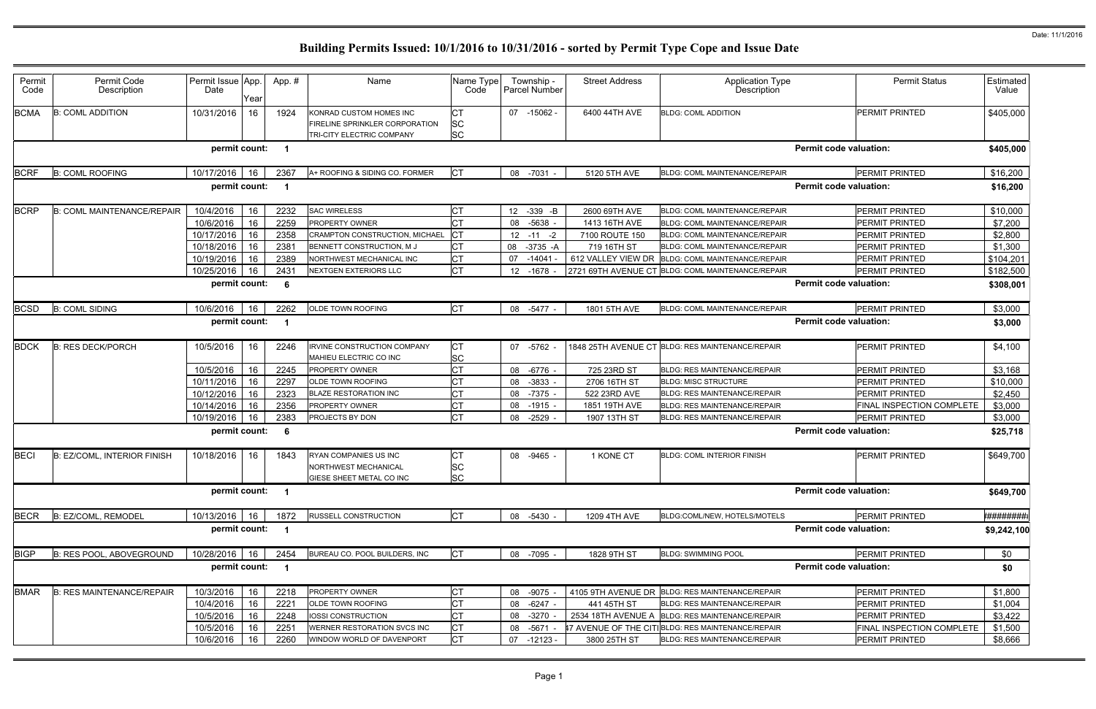| Permit<br>Code | Permit Code<br>Description         | Permit Issue App.<br>Date | Year     | App. #       | Name                                                         | Name Type<br>Code      | Township -<br><b>Parcel Number</b> | <b>Street Address</b> | <b>Application Type</b><br>Description                                                  | <b>Permit Status</b>                        | Estimated<br>Value |
|----------------|------------------------------------|---------------------------|----------|--------------|--------------------------------------------------------------|------------------------|------------------------------------|-----------------------|-----------------------------------------------------------------------------------------|---------------------------------------------|--------------------|
| <b>BCMA</b>    | <b>B: COML ADDITION</b>            | 10/31/2016                | 16       | 1924         | KONRAD CUSTOM HOMES INC                                      | <b>CT</b>              | 07 -15062 -                        | 6400 44TH AVE         | <b>BLDG: COML ADDITION</b>                                                              | PERMIT PRINTED                              | \$405,000          |
|                |                                    |                           |          |              | FIRELINE SPRINKLER CORPORATION                               | <b>SC</b>              |                                    |                       |                                                                                         |                                             |                    |
|                |                                    |                           |          |              | TRI-CITY ELECTRIC COMPANY                                    | <b>SC</b>              |                                    |                       |                                                                                         |                                             |                    |
|                |                                    | permit count: 1           |          |              |                                                              |                        |                                    |                       |                                                                                         | <b>Permit code valuation:</b>               | \$405,000          |
| <b>BCRF</b>    | <b>B: COML ROOFING</b>             | 10/17/2016 16             |          | 2367         | A+ ROOFING & SIDING CO. FORMER                               | <b>CT</b>              | 08 -7031 -                         | 5120 5TH AVE          | BLDG: COML MAINTENANCE/REPAIR                                                           | PERMIT PRINTED                              | \$16,200           |
|                |                                    | permit count:             |          | - 1          |                                                              |                        |                                    |                       |                                                                                         | <b>Permit code valuation:</b>               | \$16,200           |
|                |                                    |                           |          |              |                                                              |                        |                                    |                       |                                                                                         |                                             |                    |
| <b>BCRP</b>    | <b>B: COML MAINTENANCE/REPAIR</b>  | 10/4/2016                 | 16       | 2232         | <b>SAC WIRELESS</b>                                          | <b>CT</b>              | 12 -339 -B                         | 2600 69TH AVE         | <b>BLDG: COML MAINTENANCE/REPAIR</b>                                                    | PERMIT PRINTED                              | \$10,000           |
|                |                                    | 10/6/2016                 | 16       | 2259         | PROPERTY OWNER                                               | <b>CT</b>              | 08 -5638 -                         | 1413 16TH AVE         | <b>BLDG: COML MAINTENANCE/REPAIR</b>                                                    | PERMIT PRINTED                              | \$7,200            |
|                |                                    | 10/17/2016                | 16       | 2358         | CRAMPTON CONSTRUCTION, MICHAEL                               | Iст                    | $12 - 11 - 2$                      | 7100 ROUTE 150        | <b>BLDG: COML MAINTENANCE/REPAIR</b>                                                    | PERMIT PRINTED                              | \$2,800            |
|                |                                    | 10/18/2016                | 16       | 2381         | BENNETT CONSTRUCTION, M J                                    | <b>CT</b>              | $-3735 - A$<br>08                  | 719 16TH ST           | <b>BLDG: COML MAINTENANCE/REPAIR</b>                                                    | PERMIT PRINTED                              | \$1,300            |
|                |                                    | 10/19/2016                | 16       | 2389         | NORTHWEST MECHANICAL INC                                     | <b>CT</b>              | 07<br>-14041                       |                       | 612 VALLEY VIEW DR BLDG: COML MAINTENANCE/REPAIR                                        | PERMIT PRINTED                              | \$104,201          |
|                |                                    | 10/25/2016                | 16       | 2431         | <b>NEXTGEN EXTERIORS LLC</b>                                 | <b>CT</b>              | 12 -1678                           |                       | 2721 69TH AVENUE CT BLDG: COML MAINTENANCE/REPAIR                                       | PERMIT PRINTED                              | \$182,500          |
|                |                                    | permit count:             |          | - 6          |                                                              |                        |                                    |                       |                                                                                         | <b>Permit code valuation:</b>               | \$308,001          |
| <b>BCSD</b>    | <b>B: COML SIDING</b>              | 10/6/2016                 | 16       | 2262         | <b>OLDE TOWN ROOFING</b>                                     | <b>ICT</b>             | 08 -5477 -                         | 1801 5TH AVE          | <b>BLDG: COML MAINTENANCE/REPAIR</b>                                                    | <b>PERMIT PRINTED</b>                       | \$3,000            |
|                |                                    | permit count:             |          |              |                                                              |                        |                                    |                       |                                                                                         | <b>Permit code valuation:</b>               | \$3,000            |
| <b>BDCK</b>    | <b>B: RES DECK/PORCH</b>           | 10/5/2016                 | 16       | 2246         | <b>IRVINE CONSTRUCTION COMPANY</b><br>MAHIEU ELECTRIC CO INC | <b>CT</b><br><b>SC</b> | 07 -5762 -                         |                       | 1848 25TH AVENUE CT BLDG: RES MAINTENANCE/REPAIR                                        | <b>PERMIT PRINTED</b>                       | \$4,100            |
|                |                                    | 10/5/2016                 | 16       | 2245         | PROPERTY OWNER                                               | <b>CT</b>              | 08<br>-6776                        | 725 23RD ST           | <b>BLDG: RES MAINTENANCE/REPAIR</b>                                                     | PERMIT PRINTED                              | \$3,168            |
|                |                                    | 10/11/2016                | 16       | 2297         | <b>OLDE TOWN ROOFING</b>                                     | <b>CT</b>              | $-3833$<br>08                      | 2706 16TH ST          | <b>BLDG: MISC STRUCTURE</b>                                                             | PERMIT PRINTED                              | \$10,000           |
|                |                                    | 10/12/2016                | 16       | 2323         | <b>BLAZE RESTORATION INC</b>                                 | <b>CT</b>              | 08 -7375                           | 522 23RD AVE          | <b>BLDG: RES MAINTENANCE/REPAIR</b>                                                     | PERMIT PRINTED                              | \$2,450            |
|                |                                    | 10/14/2016                | 16       | 2356         | <b>PROPERTY OWNER</b>                                        | <b>CT</b>              | 08<br>$-1915$ -                    | 1851 19TH AVE         | <b>BLDG: RES MAINTENANCE/REPAIR</b>                                                     | FINAL INSPECTION COMPLETE                   | \$3,000            |
|                |                                    | 10/19/2016                | -16      | 2383         | PROJECTS BY DON                                              | <b>CT</b>              | 08<br>-2529                        | 1907 13TH ST          | BLDG: RES MAINTENANCE/REPAIR                                                            | PERMIT PRINTED                              | \$3,000            |
|                |                                    | permit count:             |          | - 6          |                                                              |                        |                                    |                       |                                                                                         | <b>Permit code valuation:</b>               | \$25,718           |
| <b>BECI</b>    | <b>B: EZ/COML, INTERIOR FINISH</b> | 10/18/2016                | 16       | 1843         | <b>RYAN COMPANIES US INC</b>                                 | <b>CT</b>              | 08 -9465                           | 1 KONE CT             | <b>BLDG: COML INTERIOR FINISH</b>                                                       | <b>PERMIT PRINTED</b>                       | \$649,700          |
|                |                                    |                           |          |              | <b>NORTHWEST MECHANICAL</b>                                  | <b>SC</b>              |                                    |                       |                                                                                         |                                             |                    |
|                |                                    |                           |          |              | GIESE SHEET METAL CO INC                                     | <b>SC</b>              |                                    |                       |                                                                                         |                                             |                    |
|                |                                    | permit count:             |          | - 1          |                                                              |                        |                                    |                       |                                                                                         | <b>Permit code valuation:</b>               | \$649,700          |
| <b>BECR</b>    | B: EZ/COML, REMODEL                | 10/13/2016   16           |          | 1872         | <b>RUSSELL CONSTRUCTION</b>                                  | <b>CT</b>              | 08 -5430 -                         | 1209 4TH AVE          | BLDG:COML/NEW. HOTELS/MOTELS                                                            | PERMIT PRINTED                              | <b>*########</b>   |
|                |                                    | permit count: 1           |          |              |                                                              |                        |                                    |                       |                                                                                         | <b>Permit code valuation:</b>               | \$9,242,100        |
| <b>BIGP</b>    | B: RES POOL, ABOVEGROUND           | 10/28/2016 16             |          | 2454         | BUREAU CO. POOL BUILDERS, INC                                | <b>CT</b>              | 08 -7095 -                         | 1828 9TH ST           | <b>BLDG: SWIMMING POOL</b>                                                              | PERMIT PRINTED                              | \$0                |
|                |                                    | permit count:             |          |              |                                                              |                        |                                    |                       |                                                                                         | <b>Permit code valuation:</b>               | \$0                |
|                |                                    |                           |          |              |                                                              |                        |                                    |                       |                                                                                         |                                             |                    |
| <b>BMAR</b>    | <b>B: RES MAINTENANCE/REPAIR</b>   | 10/3/2016                 | 16       | 2218         | PROPERTY OWNER                                               | <b>CT</b>              | 08 -9075                           |                       | 4105 9TH AVENUE DR BLDG: RES MAINTENANCE/REPAIR                                         | <b>PERMIT PRINTED</b>                       | \$1,800            |
|                |                                    | 10/4/2016                 | 16       | 2221         | <b>OLDE TOWN ROOFING</b>                                     | <b>CT</b>              | 08 -6247 -                         | 441 45TH ST           | <b>BLDG: RES MAINTENANCE/REPAIR</b>                                                     | <b>PERMIT PRINTED</b>                       | \$1,004            |
|                |                                    |                           |          |              |                                                              |                        |                                    |                       |                                                                                         |                                             |                    |
|                |                                    | 10/5/2016                 | 16       | 2248         | IOSSI CONSTRUCTION                                           | <b>CT</b>              | $-3270$ -<br>08                    |                       | 2534 18TH AVENUE A BLDG: RES MAINTENANCE/REPAIR                                         | PERMIT PRINTED                              | \$3,422            |
|                |                                    | 10/5/2016<br>10/6/2016    | 16<br>16 | 2251<br>2260 | WERNER RESTORATION SVCS INC<br>WINDOW WORLD OF DAVENPORT     | <b>CT</b><br><b>CT</b> | $-5671$<br>08<br>$07 - 12123$      | 3800 25TH ST          | 7 AVENUE OF THE CITIBLDG: RES MAINTENANCE/REPAIR<br><b>BLDG: RES MAINTENANCE/REPAIR</b> | FINAL INSPECTION COMPLETE<br>PERMIT PRINTED | \$1,500<br>\$8,666 |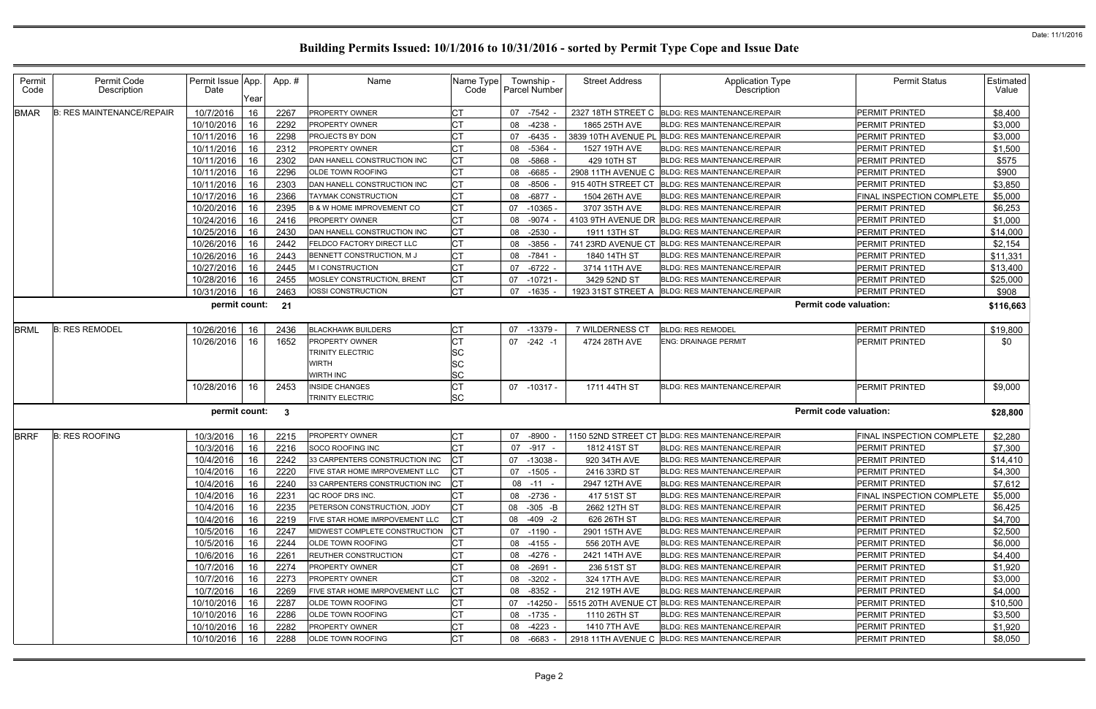| Permit<br>Permit Code<br>Permit Issue App.<br>Name Type<br>Township -<br>Application Type<br><b>Permit Status</b><br><b>Estimated</b><br>App. #<br><b>Street Address</b><br>Name<br>Description<br>Description<br><b>Parcel Number</b><br>Code<br>Date<br>Code<br>Value<br>Year<br>10/7/2016<br>СT<br><b>BMAR</b><br><b>B: RES MAINTENANCE/REPAIR</b><br>16<br>2267<br><b>PROPERTY OWNER</b><br>07 -7542<br>2327 18TH STREET C BLDG: RES MAINTENANCE/REPAIR<br><b>PERMIT PRINTED</b><br>\$8,400<br>10/10/2016<br>16<br>2292<br>PROPERTY OWNER<br>08 -4238<br>PERMIT PRINTED<br>\$3,000<br>CT<br>1865 25TH AVE<br><b>BLDG: RES MAINTENANCE/REPAIR</b><br>10/11/2016<br>16<br>2298<br>PROJECTS BY DON<br>СT<br><b>BLDG: RES MAINTENANCE/REPAIR</b><br>\$3,000<br>07 -6435<br>3839 10TH AVENUE PL<br><b>PERMIT PRINTED</b><br>10/11/2016<br>08 -5364<br>\$1,500<br>16<br>2312<br>PROPERTY OWNER<br>1527 19TH AVE<br><b>PERMIT PRINTED</b><br><b>BLDG: RES MAINTENANCE/REPAIR</b><br>10/11/2016<br>16<br>2302<br>DAN HANELL CONSTRUCTION INC<br>СT<br>08 -5868 -<br>PERMIT PRINTED<br>\$575<br>429 10TH ST<br><b>BLDG: RES MAINTENANCE/REPAIR</b><br>2296<br>\$900<br>10/11/2016<br>16<br>СT<br>-6685<br>PERMIT PRINTED<br>OLDE TOWN ROOFING<br>08<br>2908 11TH AVENUE C<br><b>BLDG: RES MAINTENANCE/REPAIR</b><br>2303<br>10/11/2016<br>16<br>DAN HANELL CONSTRUCTION INC<br>СT<br><b>BLDG: RES MAINTENANCE/REPAIR</b><br>\$3,850<br>08 -8506<br>915 40TH STREET CT<br>PERMIT PRINTED<br>10/17/2016<br><b>CT</b><br>16<br>2366<br>08 -6877 -<br>FINAL INSPECTION COMPLETE<br>\$5,000<br><b>TAYMAK CONSTRUCTION</b><br>1504 26TH AVE<br>BLDG: RES MAINTENANCE/REPAIR<br>10/20/2016<br>СT<br>16<br>2395<br>\$6,253<br><b>B &amp; W HOME IMPROVEMENT CO</b><br>07 -10365<br>3707 35TH AVE<br><b>BLDG: RES MAINTENANCE/REPAIR</b><br>PERMIT PRINTED<br>СT<br>10/24/2016<br>16<br>2416<br><b>PERMIT PRINTED</b><br>\$1,000<br><b>PROPERTY OWNER</b><br>08 -9074<br>4103 9TH AVENUE DR<br><b>BLDG: RES MAINTENANCE/REPAIR</b><br>10/25/2016<br>16<br>2430<br>СT<br>\$14,000<br>DAN HANELL CONSTRUCTION INC<br>$08 - 2530$<br>1911 13TH ST<br><b>BLDG: RES MAINTENANCE/REPAIR</b><br>PERMIT PRINTED<br>10/26/2016<br>СT<br>2442<br>FELDCO FACTORY DIRECT LLC<br>08 -3856<br>741 23RD AVENUE CT<br><b>PERMIT PRINTED</b><br>\$2,154<br>16<br><b>BLDG: RES MAINTENANCE/REPAIR</b><br>СT<br>10/26/2016<br>16<br>2443<br>BENNETT CONSTRUCTION, M J<br>08 -7841 -<br>1840 14TH ST<br>BLDG: RES MAINTENANCE/REPAIR<br><b>PERMIT PRINTED</b><br>\$11,331<br>10/27/2016<br>PERMIT PRINTED<br>\$13,400<br>16<br>2445<br>M I CONSTRUCTION<br>07<br>-6722 -<br>3714 11TH AVE<br><b>BLDG: RES MAINTENANCE/REPAIR</b><br>16<br>2455<br>MOSLEY CONSTRUCTION, BRENT<br>СT<br>07 -10721<br>3429 52ND ST<br>BLDG: RES MAINTENANCE/REPAIR<br>PERMIT PRINTED<br>\$25,000<br>10/28/2016<br><b>CT</b><br>10/31/2016<br>16<br>2463<br>IOSSI CONSTRUCTION<br>07 -1635 -<br>1923 31ST STREET A<br><b>BLDG: RES MAINTENANCE/REPAIR</b><br>PERMIT PRINTED<br>\$908<br>permit count:<br><b>Permit code valuation:</b><br>21<br>\$116,663<br><b>B: RES REMODEL</b><br>10/26/2016<br>2436<br><b>BLACKHAWK BUILDERS</b><br>СT<br>07 -13379<br>7 WILDERNESS CT<br><b>BLDG: RES REMODEL</b><br><b>PERMIT PRINTED</b><br>\$19,800<br>16<br>10/26/2016<br>1652<br>PROPERTY OWNER<br>$07 -242 -1$<br><b>PERMIT PRINTED</b><br>\$0<br>16<br>4724 28TH AVE<br><b>ENG: DRAINAGE PERMIT</b><br>SC<br>TRINITY ELECTRIC<br>SC<br>WIRTH<br>SC<br><b>WIRTH INC</b><br><b>CT</b><br>10/28/2016<br>16<br>2453<br><b>INSIDE CHANGES</b><br>\$9,000<br>07 -10317 -<br>1711 44TH ST<br><b>BLDG: RES MAINTENANCE/REPAIR</b><br><b>PERMIT PRINTED</b><br>TRINITY ELECTRIC<br>SC<br><b>Permit code valuation:</b><br>permit count:<br>3<br>\$28,800<br><b>BRRF</b><br><b>B: RES ROOFING</b><br>10/3/2016<br>16<br>2215<br>PROPERTY OWNER<br>СT<br>1150 52ND STREET CT BLDG: RES MAINTENANCE/REPAIR<br>FINAL INSPECTION COMPLETE<br>\$2,280<br>07 -8900<br>SOCO ROOFING INC<br>10/3/2016<br>16<br>2216<br>07 -917 -<br>1812 41ST ST<br><b>BLDG: RES MAINTENANCE/REPAIR</b><br><b>PERMIT PRINTED</b><br>\$7,300<br>10/4/2016<br>16<br>2242<br>33 CARPENTERS CONSTRUCTION INC<br>СT<br><b>PERMIT PRINTED</b><br>\$14,410<br>07 -13038 -<br>920 34TH AVE<br>BLDG: RES MAINTENANCE/REPAIR<br>10/4/2016 16<br><b>CT</b><br>FIVE STAR HOME IMRPOVEMENT LLC<br>\$4,300<br>2220<br>07 -1505 -<br>2416 33RD ST<br>BLDG: RES MAINTENANCE/REPAIR<br>PERMIT PRINTED<br>16<br>CТ<br>PERMIT PRINTED<br>10/4/2016<br>2240<br>2947 12TH AVE<br>\$7,612<br>33 CARPENTERS CONSTRUCTION INC<br>$08 - 11 -$<br><b>BLDG: RES MAINTENANCE/REPAIR</b><br>10/4/2016<br>2231<br>QC ROOF DRS INC.<br>08 -2736 -<br>417 51ST ST<br><b>BLDG: RES MAINTENANCE/REPAIR</b><br><b>FINAL INSPECTION COMPLETE</b><br>\$5,000<br>16<br>СT<br>10/4/2016<br>2235<br>PETERSON CONSTRUCTION, JODY<br>08 -305 -B<br>2662 12TH ST<br><b>PERMIT PRINTED</b><br>\$6,425<br>16<br><b>BLDG: RES MAINTENANCE/REPAIR</b><br>FIVE STAR HOME IMRPOVEMENT LLC<br>10/4/2016<br>08 -409 -2<br>626 26TH ST<br><b>BLDG: RES MAINTENANCE/REPAIR</b><br><b>PERMIT PRINTED</b><br>\$4,700<br>-16<br>2219<br>31<br>СT<br>10/5/2016<br>PERMIT PRINTED<br>\$2,500<br>16<br>2247<br>MIDWEST COMPLETE CONSTRUCTION<br>07 -1190 -<br>2901 15TH AVE<br>BLDG: RES MAINTENANCE/REPAIR<br>\$6,000<br>10/5/2016<br>16<br>2244<br>OLDE TOWN ROOFING<br>08 -4155 -<br>556 20TH AVE<br><b>BLDG: RES MAINTENANCE/REPAIR</b><br><b>PERMIT PRINTED</b><br>10/6/2016<br>СT<br>16<br>2261<br>REUTHER CONSTRUCTION<br>08 -4276 -<br>2421 14TH AVE<br>BLDG: RES MAINTENANCE/REPAIR<br>PERMIT PRINTED<br>\$4,400<br>10/7/2016<br>2274<br>СT<br>08 -2691 -<br>236 51ST ST<br><b>PERMIT PRINTED</b><br>\$1,920<br>16<br>PROPERTY OWNER<br><b>BLDG: RES MAINTENANCE/REPAIR</b><br>10/7/2016<br>2273<br><b>PROPERTY OWNER</b><br>СT<br>\$3,000<br>16<br>08 -3202 -<br>324 17TH AVE<br><b>BLDG: RES MAINTENANCE/REPAIR</b><br>PERMIT PRINTED<br>10/7/2016<br>16<br>2269<br>СT<br>08 -8352 -<br><b>PERMIT PRINTED</b><br>\$4,000<br>FIVE STAR HOME IMRPOVEMENT LLC<br>212 19TH AVE<br><b>BLDG: RES MAINTENANCE/REPAIR</b><br>10/10/2016<br>2287<br>СT<br>\$10,500<br>16<br>OLDE TOWN ROOFING<br>$07 - 14250$<br>5515 20TH AVENUE CT<br><b>BLDG: RES MAINTENANCE/REPAIR</b><br><b>PERMIT PRINTED</b><br><b>CT</b><br>10/10/2016<br>PERMIT PRINTED<br>2286<br>08 -1735 -<br>1110 26TH ST<br>\$3,500<br>16<br>OLDE TOWN ROOFING<br>BLDG: RES MAINTENANCE/REPAIR<br>10/10/2016   16<br>СT<br>\$1,920<br>2282<br><b>PROPERTY OWNER</b><br>08 -4223 -<br>1410 7TH AVE<br><b>BLDG: RES MAINTENANCE/REPAIR</b><br><b>PERMIT PRINTED</b><br><b>CT</b><br>10/10/2016<br>2288<br>PERMIT PRINTED<br>16<br>OLDE TOWN ROOFING<br>08 -6683 -<br>2918 11TH AVENUE C BLDG: RES MAINTENANCE/REPAIR<br>\$8,050 |      |  |  |  |  |  |  |
|------------------------------------------------------------------------------------------------------------------------------------------------------------------------------------------------------------------------------------------------------------------------------------------------------------------------------------------------------------------------------------------------------------------------------------------------------------------------------------------------------------------------------------------------------------------------------------------------------------------------------------------------------------------------------------------------------------------------------------------------------------------------------------------------------------------------------------------------------------------------------------------------------------------------------------------------------------------------------------------------------------------------------------------------------------------------------------------------------------------------------------------------------------------------------------------------------------------------------------------------------------------------------------------------------------------------------------------------------------------------------------------------------------------------------------------------------------------------------------------------------------------------------------------------------------------------------------------------------------------------------------------------------------------------------------------------------------------------------------------------------------------------------------------------------------------------------------------------------------------------------------------------------------------------------------------------------------------------------------------------------------------------------------------------------------------------------------------------------------------------------------------------------------------------------------------------------------------------------------------------------------------------------------------------------------------------------------------------------------------------------------------------------------------------------------------------------------------------------------------------------------------------------------------------------------------------------------------------------------------------------------------------------------------------------------------------------------------------------------------------------------------------------------------------------------------------------------------------------------------------------------------------------------------------------------------------------------------------------------------------------------------------------------------------------------------------------------------------------------------------------------------------------------------------------------------------------------------------------------------------------------------------------------------------------------------------------------------------------------------------------------------------------------------------------------------------------------------------------------------------------------------------------------------------------------------------------------------------------------------------------------------------------------------------------------------------------------------------------------------------------------------------------------------------------------------------------------------------------------------------------------------------------------------------------------------------------------------------------------------------------------------------------------------------------------------------------------------------------------------------------------------------------------------------------------------------------------------------------------------------------------------------------------------------------------------------------------------------------------------------------------------------------------------------------------------------------------------------------------------------------------------------------------------------------------------------------------------------------------------------------------------------------------------------------------------------------------------------------------------------------------------------------------------------------------------------------------------------------------------------------------------------------------------------------------------------------------------------------------------------------------------------------------------------------------------------------------------------------------------------------------------------------------------------------------------------------------------------------------------------------------------------------------------------------------------------------------------------------------------------------------------------------------------------------------------------------------------------------------------------------------------------------------------------------------------------------------------------------------------------------------------------------------------------------------------------------------------------------------------------------------------------------------------------------------------------------------------------------------------------------------------------------------------------------------------------------------------------------------------------------------------------------------------------------------------------------------------------------------------------------------------------------------------------------------------------------------------------------------------------------------------------------------------------------------------------------------------------------------------------------------------------------------------------------------------------------------------------------------------------------------------------------------------------------------------------------------------------------------------------------------------------------------------------------------------------------------------------------------------------------------------------------------------------------------------------------------------|------|--|--|--|--|--|--|
|                                                                                                                                                                                                                                                                                                                                                                                                                                                                                                                                                                                                                                                                                                                                                                                                                                                                                                                                                                                                                                                                                                                                                                                                                                                                                                                                                                                                                                                                                                                                                                                                                                                                                                                                                                                                                                                                                                                                                                                                                                                                                                                                                                                                                                                                                                                                                                                                                                                                                                                                                                                                                                                                                                                                                                                                                                                                                                                                                                                                                                                                                                                                                                                                                                                                                                                                                                                                                                                                                                                                                                                                                                                                                                                                                                                                                                                                                                                                                                                                                                                                                                                                                                                                                                                                                                                                                                                                                                                                                                                                                                                                                                                                                                                                                                                                                                                                                                                                                                                                                                                                                                                                                                                                                                                                                                                                                                                                                                                                                                                                                                                                                                                                                                                                                                                                                                                                                                                                                                                                                                                                                                                                                                                                                                                                                                                                                                                                                                                                                                                                                                                                                                                                                                                                                                                                                                          |      |  |  |  |  |  |  |
|                                                                                                                                                                                                                                                                                                                                                                                                                                                                                                                                                                                                                                                                                                                                                                                                                                                                                                                                                                                                                                                                                                                                                                                                                                                                                                                                                                                                                                                                                                                                                                                                                                                                                                                                                                                                                                                                                                                                                                                                                                                                                                                                                                                                                                                                                                                                                                                                                                                                                                                                                                                                                                                                                                                                                                                                                                                                                                                                                                                                                                                                                                                                                                                                                                                                                                                                                                                                                                                                                                                                                                                                                                                                                                                                                                                                                                                                                                                                                                                                                                                                                                                                                                                                                                                                                                                                                                                                                                                                                                                                                                                                                                                                                                                                                                                                                                                                                                                                                                                                                                                                                                                                                                                                                                                                                                                                                                                                                                                                                                                                                                                                                                                                                                                                                                                                                                                                                                                                                                                                                                                                                                                                                                                                                                                                                                                                                                                                                                                                                                                                                                                                                                                                                                                                                                                                                                          |      |  |  |  |  |  |  |
|                                                                                                                                                                                                                                                                                                                                                                                                                                                                                                                                                                                                                                                                                                                                                                                                                                                                                                                                                                                                                                                                                                                                                                                                                                                                                                                                                                                                                                                                                                                                                                                                                                                                                                                                                                                                                                                                                                                                                                                                                                                                                                                                                                                                                                                                                                                                                                                                                                                                                                                                                                                                                                                                                                                                                                                                                                                                                                                                                                                                                                                                                                                                                                                                                                                                                                                                                                                                                                                                                                                                                                                                                                                                                                                                                                                                                                                                                                                                                                                                                                                                                                                                                                                                                                                                                                                                                                                                                                                                                                                                                                                                                                                                                                                                                                                                                                                                                                                                                                                                                                                                                                                                                                                                                                                                                                                                                                                                                                                                                                                                                                                                                                                                                                                                                                                                                                                                                                                                                                                                                                                                                                                                                                                                                                                                                                                                                                                                                                                                                                                                                                                                                                                                                                                                                                                                                                          |      |  |  |  |  |  |  |
|                                                                                                                                                                                                                                                                                                                                                                                                                                                                                                                                                                                                                                                                                                                                                                                                                                                                                                                                                                                                                                                                                                                                                                                                                                                                                                                                                                                                                                                                                                                                                                                                                                                                                                                                                                                                                                                                                                                                                                                                                                                                                                                                                                                                                                                                                                                                                                                                                                                                                                                                                                                                                                                                                                                                                                                                                                                                                                                                                                                                                                                                                                                                                                                                                                                                                                                                                                                                                                                                                                                                                                                                                                                                                                                                                                                                                                                                                                                                                                                                                                                                                                                                                                                                                                                                                                                                                                                                                                                                                                                                                                                                                                                                                                                                                                                                                                                                                                                                                                                                                                                                                                                                                                                                                                                                                                                                                                                                                                                                                                                                                                                                                                                                                                                                                                                                                                                                                                                                                                                                                                                                                                                                                                                                                                                                                                                                                                                                                                                                                                                                                                                                                                                                                                                                                                                                                                          |      |  |  |  |  |  |  |
|                                                                                                                                                                                                                                                                                                                                                                                                                                                                                                                                                                                                                                                                                                                                                                                                                                                                                                                                                                                                                                                                                                                                                                                                                                                                                                                                                                                                                                                                                                                                                                                                                                                                                                                                                                                                                                                                                                                                                                                                                                                                                                                                                                                                                                                                                                                                                                                                                                                                                                                                                                                                                                                                                                                                                                                                                                                                                                                                                                                                                                                                                                                                                                                                                                                                                                                                                                                                                                                                                                                                                                                                                                                                                                                                                                                                                                                                                                                                                                                                                                                                                                                                                                                                                                                                                                                                                                                                                                                                                                                                                                                                                                                                                                                                                                                                                                                                                                                                                                                                                                                                                                                                                                                                                                                                                                                                                                                                                                                                                                                                                                                                                                                                                                                                                                                                                                                                                                                                                                                                                                                                                                                                                                                                                                                                                                                                                                                                                                                                                                                                                                                                                                                                                                                                                                                                                                          |      |  |  |  |  |  |  |
|                                                                                                                                                                                                                                                                                                                                                                                                                                                                                                                                                                                                                                                                                                                                                                                                                                                                                                                                                                                                                                                                                                                                                                                                                                                                                                                                                                                                                                                                                                                                                                                                                                                                                                                                                                                                                                                                                                                                                                                                                                                                                                                                                                                                                                                                                                                                                                                                                                                                                                                                                                                                                                                                                                                                                                                                                                                                                                                                                                                                                                                                                                                                                                                                                                                                                                                                                                                                                                                                                                                                                                                                                                                                                                                                                                                                                                                                                                                                                                                                                                                                                                                                                                                                                                                                                                                                                                                                                                                                                                                                                                                                                                                                                                                                                                                                                                                                                                                                                                                                                                                                                                                                                                                                                                                                                                                                                                                                                                                                                                                                                                                                                                                                                                                                                                                                                                                                                                                                                                                                                                                                                                                                                                                                                                                                                                                                                                                                                                                                                                                                                                                                                                                                                                                                                                                                                                          |      |  |  |  |  |  |  |
|                                                                                                                                                                                                                                                                                                                                                                                                                                                                                                                                                                                                                                                                                                                                                                                                                                                                                                                                                                                                                                                                                                                                                                                                                                                                                                                                                                                                                                                                                                                                                                                                                                                                                                                                                                                                                                                                                                                                                                                                                                                                                                                                                                                                                                                                                                                                                                                                                                                                                                                                                                                                                                                                                                                                                                                                                                                                                                                                                                                                                                                                                                                                                                                                                                                                                                                                                                                                                                                                                                                                                                                                                                                                                                                                                                                                                                                                                                                                                                                                                                                                                                                                                                                                                                                                                                                                                                                                                                                                                                                                                                                                                                                                                                                                                                                                                                                                                                                                                                                                                                                                                                                                                                                                                                                                                                                                                                                                                                                                                                                                                                                                                                                                                                                                                                                                                                                                                                                                                                                                                                                                                                                                                                                                                                                                                                                                                                                                                                                                                                                                                                                                                                                                                                                                                                                                                                          |      |  |  |  |  |  |  |
|                                                                                                                                                                                                                                                                                                                                                                                                                                                                                                                                                                                                                                                                                                                                                                                                                                                                                                                                                                                                                                                                                                                                                                                                                                                                                                                                                                                                                                                                                                                                                                                                                                                                                                                                                                                                                                                                                                                                                                                                                                                                                                                                                                                                                                                                                                                                                                                                                                                                                                                                                                                                                                                                                                                                                                                                                                                                                                                                                                                                                                                                                                                                                                                                                                                                                                                                                                                                                                                                                                                                                                                                                                                                                                                                                                                                                                                                                                                                                                                                                                                                                                                                                                                                                                                                                                                                                                                                                                                                                                                                                                                                                                                                                                                                                                                                                                                                                                                                                                                                                                                                                                                                                                                                                                                                                                                                                                                                                                                                                                                                                                                                                                                                                                                                                                                                                                                                                                                                                                                                                                                                                                                                                                                                                                                                                                                                                                                                                                                                                                                                                                                                                                                                                                                                                                                                                                          |      |  |  |  |  |  |  |
|                                                                                                                                                                                                                                                                                                                                                                                                                                                                                                                                                                                                                                                                                                                                                                                                                                                                                                                                                                                                                                                                                                                                                                                                                                                                                                                                                                                                                                                                                                                                                                                                                                                                                                                                                                                                                                                                                                                                                                                                                                                                                                                                                                                                                                                                                                                                                                                                                                                                                                                                                                                                                                                                                                                                                                                                                                                                                                                                                                                                                                                                                                                                                                                                                                                                                                                                                                                                                                                                                                                                                                                                                                                                                                                                                                                                                                                                                                                                                                                                                                                                                                                                                                                                                                                                                                                                                                                                                                                                                                                                                                                                                                                                                                                                                                                                                                                                                                                                                                                                                                                                                                                                                                                                                                                                                                                                                                                                                                                                                                                                                                                                                                                                                                                                                                                                                                                                                                                                                                                                                                                                                                                                                                                                                                                                                                                                                                                                                                                                                                                                                                                                                                                                                                                                                                                                                                          |      |  |  |  |  |  |  |
|                                                                                                                                                                                                                                                                                                                                                                                                                                                                                                                                                                                                                                                                                                                                                                                                                                                                                                                                                                                                                                                                                                                                                                                                                                                                                                                                                                                                                                                                                                                                                                                                                                                                                                                                                                                                                                                                                                                                                                                                                                                                                                                                                                                                                                                                                                                                                                                                                                                                                                                                                                                                                                                                                                                                                                                                                                                                                                                                                                                                                                                                                                                                                                                                                                                                                                                                                                                                                                                                                                                                                                                                                                                                                                                                                                                                                                                                                                                                                                                                                                                                                                                                                                                                                                                                                                                                                                                                                                                                                                                                                                                                                                                                                                                                                                                                                                                                                                                                                                                                                                                                                                                                                                                                                                                                                                                                                                                                                                                                                                                                                                                                                                                                                                                                                                                                                                                                                                                                                                                                                                                                                                                                                                                                                                                                                                                                                                                                                                                                                                                                                                                                                                                                                                                                                                                                                                          |      |  |  |  |  |  |  |
|                                                                                                                                                                                                                                                                                                                                                                                                                                                                                                                                                                                                                                                                                                                                                                                                                                                                                                                                                                                                                                                                                                                                                                                                                                                                                                                                                                                                                                                                                                                                                                                                                                                                                                                                                                                                                                                                                                                                                                                                                                                                                                                                                                                                                                                                                                                                                                                                                                                                                                                                                                                                                                                                                                                                                                                                                                                                                                                                                                                                                                                                                                                                                                                                                                                                                                                                                                                                                                                                                                                                                                                                                                                                                                                                                                                                                                                                                                                                                                                                                                                                                                                                                                                                                                                                                                                                                                                                                                                                                                                                                                                                                                                                                                                                                                                                                                                                                                                                                                                                                                                                                                                                                                                                                                                                                                                                                                                                                                                                                                                                                                                                                                                                                                                                                                                                                                                                                                                                                                                                                                                                                                                                                                                                                                                                                                                                                                                                                                                                                                                                                                                                                                                                                                                                                                                                                                          |      |  |  |  |  |  |  |
|                                                                                                                                                                                                                                                                                                                                                                                                                                                                                                                                                                                                                                                                                                                                                                                                                                                                                                                                                                                                                                                                                                                                                                                                                                                                                                                                                                                                                                                                                                                                                                                                                                                                                                                                                                                                                                                                                                                                                                                                                                                                                                                                                                                                                                                                                                                                                                                                                                                                                                                                                                                                                                                                                                                                                                                                                                                                                                                                                                                                                                                                                                                                                                                                                                                                                                                                                                                                                                                                                                                                                                                                                                                                                                                                                                                                                                                                                                                                                                                                                                                                                                                                                                                                                                                                                                                                                                                                                                                                                                                                                                                                                                                                                                                                                                                                                                                                                                                                                                                                                                                                                                                                                                                                                                                                                                                                                                                                                                                                                                                                                                                                                                                                                                                                                                                                                                                                                                                                                                                                                                                                                                                                                                                                                                                                                                                                                                                                                                                                                                                                                                                                                                                                                                                                                                                                                                          |      |  |  |  |  |  |  |
|                                                                                                                                                                                                                                                                                                                                                                                                                                                                                                                                                                                                                                                                                                                                                                                                                                                                                                                                                                                                                                                                                                                                                                                                                                                                                                                                                                                                                                                                                                                                                                                                                                                                                                                                                                                                                                                                                                                                                                                                                                                                                                                                                                                                                                                                                                                                                                                                                                                                                                                                                                                                                                                                                                                                                                                                                                                                                                                                                                                                                                                                                                                                                                                                                                                                                                                                                                                                                                                                                                                                                                                                                                                                                                                                                                                                                                                                                                                                                                                                                                                                                                                                                                                                                                                                                                                                                                                                                                                                                                                                                                                                                                                                                                                                                                                                                                                                                                                                                                                                                                                                                                                                                                                                                                                                                                                                                                                                                                                                                                                                                                                                                                                                                                                                                                                                                                                                                                                                                                                                                                                                                                                                                                                                                                                                                                                                                                                                                                                                                                                                                                                                                                                                                                                                                                                                                                          |      |  |  |  |  |  |  |
|                                                                                                                                                                                                                                                                                                                                                                                                                                                                                                                                                                                                                                                                                                                                                                                                                                                                                                                                                                                                                                                                                                                                                                                                                                                                                                                                                                                                                                                                                                                                                                                                                                                                                                                                                                                                                                                                                                                                                                                                                                                                                                                                                                                                                                                                                                                                                                                                                                                                                                                                                                                                                                                                                                                                                                                                                                                                                                                                                                                                                                                                                                                                                                                                                                                                                                                                                                                                                                                                                                                                                                                                                                                                                                                                                                                                                                                                                                                                                                                                                                                                                                                                                                                                                                                                                                                                                                                                                                                                                                                                                                                                                                                                                                                                                                                                                                                                                                                                                                                                                                                                                                                                                                                                                                                                                                                                                                                                                                                                                                                                                                                                                                                                                                                                                                                                                                                                                                                                                                                                                                                                                                                                                                                                                                                                                                                                                                                                                                                                                                                                                                                                                                                                                                                                                                                                                                          |      |  |  |  |  |  |  |
|                                                                                                                                                                                                                                                                                                                                                                                                                                                                                                                                                                                                                                                                                                                                                                                                                                                                                                                                                                                                                                                                                                                                                                                                                                                                                                                                                                                                                                                                                                                                                                                                                                                                                                                                                                                                                                                                                                                                                                                                                                                                                                                                                                                                                                                                                                                                                                                                                                                                                                                                                                                                                                                                                                                                                                                                                                                                                                                                                                                                                                                                                                                                                                                                                                                                                                                                                                                                                                                                                                                                                                                                                                                                                                                                                                                                                                                                                                                                                                                                                                                                                                                                                                                                                                                                                                                                                                                                                                                                                                                                                                                                                                                                                                                                                                                                                                                                                                                                                                                                                                                                                                                                                                                                                                                                                                                                                                                                                                                                                                                                                                                                                                                                                                                                                                                                                                                                                                                                                                                                                                                                                                                                                                                                                                                                                                                                                                                                                                                                                                                                                                                                                                                                                                                                                                                                                                          |      |  |  |  |  |  |  |
|                                                                                                                                                                                                                                                                                                                                                                                                                                                                                                                                                                                                                                                                                                                                                                                                                                                                                                                                                                                                                                                                                                                                                                                                                                                                                                                                                                                                                                                                                                                                                                                                                                                                                                                                                                                                                                                                                                                                                                                                                                                                                                                                                                                                                                                                                                                                                                                                                                                                                                                                                                                                                                                                                                                                                                                                                                                                                                                                                                                                                                                                                                                                                                                                                                                                                                                                                                                                                                                                                                                                                                                                                                                                                                                                                                                                                                                                                                                                                                                                                                                                                                                                                                                                                                                                                                                                                                                                                                                                                                                                                                                                                                                                                                                                                                                                                                                                                                                                                                                                                                                                                                                                                                                                                                                                                                                                                                                                                                                                                                                                                                                                                                                                                                                                                                                                                                                                                                                                                                                                                                                                                                                                                                                                                                                                                                                                                                                                                                                                                                                                                                                                                                                                                                                                                                                                                                          |      |  |  |  |  |  |  |
|                                                                                                                                                                                                                                                                                                                                                                                                                                                                                                                                                                                                                                                                                                                                                                                                                                                                                                                                                                                                                                                                                                                                                                                                                                                                                                                                                                                                                                                                                                                                                                                                                                                                                                                                                                                                                                                                                                                                                                                                                                                                                                                                                                                                                                                                                                                                                                                                                                                                                                                                                                                                                                                                                                                                                                                                                                                                                                                                                                                                                                                                                                                                                                                                                                                                                                                                                                                                                                                                                                                                                                                                                                                                                                                                                                                                                                                                                                                                                                                                                                                                                                                                                                                                                                                                                                                                                                                                                                                                                                                                                                                                                                                                                                                                                                                                                                                                                                                                                                                                                                                                                                                                                                                                                                                                                                                                                                                                                                                                                                                                                                                                                                                                                                                                                                                                                                                                                                                                                                                                                                                                                                                                                                                                                                                                                                                                                                                                                                                                                                                                                                                                                                                                                                                                                                                                                                          |      |  |  |  |  |  |  |
|                                                                                                                                                                                                                                                                                                                                                                                                                                                                                                                                                                                                                                                                                                                                                                                                                                                                                                                                                                                                                                                                                                                                                                                                                                                                                                                                                                                                                                                                                                                                                                                                                                                                                                                                                                                                                                                                                                                                                                                                                                                                                                                                                                                                                                                                                                                                                                                                                                                                                                                                                                                                                                                                                                                                                                                                                                                                                                                                                                                                                                                                                                                                                                                                                                                                                                                                                                                                                                                                                                                                                                                                                                                                                                                                                                                                                                                                                                                                                                                                                                                                                                                                                                                                                                                                                                                                                                                                                                                                                                                                                                                                                                                                                                                                                                                                                                                                                                                                                                                                                                                                                                                                                                                                                                                                                                                                                                                                                                                                                                                                                                                                                                                                                                                                                                                                                                                                                                                                                                                                                                                                                                                                                                                                                                                                                                                                                                                                                                                                                                                                                                                                                                                                                                                                                                                                                                          |      |  |  |  |  |  |  |
|                                                                                                                                                                                                                                                                                                                                                                                                                                                                                                                                                                                                                                                                                                                                                                                                                                                                                                                                                                                                                                                                                                                                                                                                                                                                                                                                                                                                                                                                                                                                                                                                                                                                                                                                                                                                                                                                                                                                                                                                                                                                                                                                                                                                                                                                                                                                                                                                                                                                                                                                                                                                                                                                                                                                                                                                                                                                                                                                                                                                                                                                                                                                                                                                                                                                                                                                                                                                                                                                                                                                                                                                                                                                                                                                                                                                                                                                                                                                                                                                                                                                                                                                                                                                                                                                                                                                                                                                                                                                                                                                                                                                                                                                                                                                                                                                                                                                                                                                                                                                                                                                                                                                                                                                                                                                                                                                                                                                                                                                                                                                                                                                                                                                                                                                                                                                                                                                                                                                                                                                                                                                                                                                                                                                                                                                                                                                                                                                                                                                                                                                                                                                                                                                                                                                                                                                                                          |      |  |  |  |  |  |  |
|                                                                                                                                                                                                                                                                                                                                                                                                                                                                                                                                                                                                                                                                                                                                                                                                                                                                                                                                                                                                                                                                                                                                                                                                                                                                                                                                                                                                                                                                                                                                                                                                                                                                                                                                                                                                                                                                                                                                                                                                                                                                                                                                                                                                                                                                                                                                                                                                                                                                                                                                                                                                                                                                                                                                                                                                                                                                                                                                                                                                                                                                                                                                                                                                                                                                                                                                                                                                                                                                                                                                                                                                                                                                                                                                                                                                                                                                                                                                                                                                                                                                                                                                                                                                                                                                                                                                                                                                                                                                                                                                                                                                                                                                                                                                                                                                                                                                                                                                                                                                                                                                                                                                                                                                                                                                                                                                                                                                                                                                                                                                                                                                                                                                                                                                                                                                                                                                                                                                                                                                                                                                                                                                                                                                                                                                                                                                                                                                                                                                                                                                                                                                                                                                                                                                                                                                                                          | BRML |  |  |  |  |  |  |
|                                                                                                                                                                                                                                                                                                                                                                                                                                                                                                                                                                                                                                                                                                                                                                                                                                                                                                                                                                                                                                                                                                                                                                                                                                                                                                                                                                                                                                                                                                                                                                                                                                                                                                                                                                                                                                                                                                                                                                                                                                                                                                                                                                                                                                                                                                                                                                                                                                                                                                                                                                                                                                                                                                                                                                                                                                                                                                                                                                                                                                                                                                                                                                                                                                                                                                                                                                                                                                                                                                                                                                                                                                                                                                                                                                                                                                                                                                                                                                                                                                                                                                                                                                                                                                                                                                                                                                                                                                                                                                                                                                                                                                                                                                                                                                                                                                                                                                                                                                                                                                                                                                                                                                                                                                                                                                                                                                                                                                                                                                                                                                                                                                                                                                                                                                                                                                                                                                                                                                                                                                                                                                                                                                                                                                                                                                                                                                                                                                                                                                                                                                                                                                                                                                                                                                                                                                          |      |  |  |  |  |  |  |
|                                                                                                                                                                                                                                                                                                                                                                                                                                                                                                                                                                                                                                                                                                                                                                                                                                                                                                                                                                                                                                                                                                                                                                                                                                                                                                                                                                                                                                                                                                                                                                                                                                                                                                                                                                                                                                                                                                                                                                                                                                                                                                                                                                                                                                                                                                                                                                                                                                                                                                                                                                                                                                                                                                                                                                                                                                                                                                                                                                                                                                                                                                                                                                                                                                                                                                                                                                                                                                                                                                                                                                                                                                                                                                                                                                                                                                                                                                                                                                                                                                                                                                                                                                                                                                                                                                                                                                                                                                                                                                                                                                                                                                                                                                                                                                                                                                                                                                                                                                                                                                                                                                                                                                                                                                                                                                                                                                                                                                                                                                                                                                                                                                                                                                                                                                                                                                                                                                                                                                                                                                                                                                                                                                                                                                                                                                                                                                                                                                                                                                                                                                                                                                                                                                                                                                                                                                          |      |  |  |  |  |  |  |
|                                                                                                                                                                                                                                                                                                                                                                                                                                                                                                                                                                                                                                                                                                                                                                                                                                                                                                                                                                                                                                                                                                                                                                                                                                                                                                                                                                                                                                                                                                                                                                                                                                                                                                                                                                                                                                                                                                                                                                                                                                                                                                                                                                                                                                                                                                                                                                                                                                                                                                                                                                                                                                                                                                                                                                                                                                                                                                                                                                                                                                                                                                                                                                                                                                                                                                                                                                                                                                                                                                                                                                                                                                                                                                                                                                                                                                                                                                                                                                                                                                                                                                                                                                                                                                                                                                                                                                                                                                                                                                                                                                                                                                                                                                                                                                                                                                                                                                                                                                                                                                                                                                                                                                                                                                                                                                                                                                                                                                                                                                                                                                                                                                                                                                                                                                                                                                                                                                                                                                                                                                                                                                                                                                                                                                                                                                                                                                                                                                                                                                                                                                                                                                                                                                                                                                                                                                          |      |  |  |  |  |  |  |
|                                                                                                                                                                                                                                                                                                                                                                                                                                                                                                                                                                                                                                                                                                                                                                                                                                                                                                                                                                                                                                                                                                                                                                                                                                                                                                                                                                                                                                                                                                                                                                                                                                                                                                                                                                                                                                                                                                                                                                                                                                                                                                                                                                                                                                                                                                                                                                                                                                                                                                                                                                                                                                                                                                                                                                                                                                                                                                                                                                                                                                                                                                                                                                                                                                                                                                                                                                                                                                                                                                                                                                                                                                                                                                                                                                                                                                                                                                                                                                                                                                                                                                                                                                                                                                                                                                                                                                                                                                                                                                                                                                                                                                                                                                                                                                                                                                                                                                                                                                                                                                                                                                                                                                                                                                                                                                                                                                                                                                                                                                                                                                                                                                                                                                                                                                                                                                                                                                                                                                                                                                                                                                                                                                                                                                                                                                                                                                                                                                                                                                                                                                                                                                                                                                                                                                                                                                          |      |  |  |  |  |  |  |
|                                                                                                                                                                                                                                                                                                                                                                                                                                                                                                                                                                                                                                                                                                                                                                                                                                                                                                                                                                                                                                                                                                                                                                                                                                                                                                                                                                                                                                                                                                                                                                                                                                                                                                                                                                                                                                                                                                                                                                                                                                                                                                                                                                                                                                                                                                                                                                                                                                                                                                                                                                                                                                                                                                                                                                                                                                                                                                                                                                                                                                                                                                                                                                                                                                                                                                                                                                                                                                                                                                                                                                                                                                                                                                                                                                                                                                                                                                                                                                                                                                                                                                                                                                                                                                                                                                                                                                                                                                                                                                                                                                                                                                                                                                                                                                                                                                                                                                                                                                                                                                                                                                                                                                                                                                                                                                                                                                                                                                                                                                                                                                                                                                                                                                                                                                                                                                                                                                                                                                                                                                                                                                                                                                                                                                                                                                                                                                                                                                                                                                                                                                                                                                                                                                                                                                                                                                          |      |  |  |  |  |  |  |
|                                                                                                                                                                                                                                                                                                                                                                                                                                                                                                                                                                                                                                                                                                                                                                                                                                                                                                                                                                                                                                                                                                                                                                                                                                                                                                                                                                                                                                                                                                                                                                                                                                                                                                                                                                                                                                                                                                                                                                                                                                                                                                                                                                                                                                                                                                                                                                                                                                                                                                                                                                                                                                                                                                                                                                                                                                                                                                                                                                                                                                                                                                                                                                                                                                                                                                                                                                                                                                                                                                                                                                                                                                                                                                                                                                                                                                                                                                                                                                                                                                                                                                                                                                                                                                                                                                                                                                                                                                                                                                                                                                                                                                                                                                                                                                                                                                                                                                                                                                                                                                                                                                                                                                                                                                                                                                                                                                                                                                                                                                                                                                                                                                                                                                                                                                                                                                                                                                                                                                                                                                                                                                                                                                                                                                                                                                                                                                                                                                                                                                                                                                                                                                                                                                                                                                                                                                          |      |  |  |  |  |  |  |
|                                                                                                                                                                                                                                                                                                                                                                                                                                                                                                                                                                                                                                                                                                                                                                                                                                                                                                                                                                                                                                                                                                                                                                                                                                                                                                                                                                                                                                                                                                                                                                                                                                                                                                                                                                                                                                                                                                                                                                                                                                                                                                                                                                                                                                                                                                                                                                                                                                                                                                                                                                                                                                                                                                                                                                                                                                                                                                                                                                                                                                                                                                                                                                                                                                                                                                                                                                                                                                                                                                                                                                                                                                                                                                                                                                                                                                                                                                                                                                                                                                                                                                                                                                                                                                                                                                                                                                                                                                                                                                                                                                                                                                                                                                                                                                                                                                                                                                                                                                                                                                                                                                                                                                                                                                                                                                                                                                                                                                                                                                                                                                                                                                                                                                                                                                                                                                                                                                                                                                                                                                                                                                                                                                                                                                                                                                                                                                                                                                                                                                                                                                                                                                                                                                                                                                                                                                          |      |  |  |  |  |  |  |
|                                                                                                                                                                                                                                                                                                                                                                                                                                                                                                                                                                                                                                                                                                                                                                                                                                                                                                                                                                                                                                                                                                                                                                                                                                                                                                                                                                                                                                                                                                                                                                                                                                                                                                                                                                                                                                                                                                                                                                                                                                                                                                                                                                                                                                                                                                                                                                                                                                                                                                                                                                                                                                                                                                                                                                                                                                                                                                                                                                                                                                                                                                                                                                                                                                                                                                                                                                                                                                                                                                                                                                                                                                                                                                                                                                                                                                                                                                                                                                                                                                                                                                                                                                                                                                                                                                                                                                                                                                                                                                                                                                                                                                                                                                                                                                                                                                                                                                                                                                                                                                                                                                                                                                                                                                                                                                                                                                                                                                                                                                                                                                                                                                                                                                                                                                                                                                                                                                                                                                                                                                                                                                                                                                                                                                                                                                                                                                                                                                                                                                                                                                                                                                                                                                                                                                                                                                          |      |  |  |  |  |  |  |
|                                                                                                                                                                                                                                                                                                                                                                                                                                                                                                                                                                                                                                                                                                                                                                                                                                                                                                                                                                                                                                                                                                                                                                                                                                                                                                                                                                                                                                                                                                                                                                                                                                                                                                                                                                                                                                                                                                                                                                                                                                                                                                                                                                                                                                                                                                                                                                                                                                                                                                                                                                                                                                                                                                                                                                                                                                                                                                                                                                                                                                                                                                                                                                                                                                                                                                                                                                                                                                                                                                                                                                                                                                                                                                                                                                                                                                                                                                                                                                                                                                                                                                                                                                                                                                                                                                                                                                                                                                                                                                                                                                                                                                                                                                                                                                                                                                                                                                                                                                                                                                                                                                                                                                                                                                                                                                                                                                                                                                                                                                                                                                                                                                                                                                                                                                                                                                                                                                                                                                                                                                                                                                                                                                                                                                                                                                                                                                                                                                                                                                                                                                                                                                                                                                                                                                                                                                          |      |  |  |  |  |  |  |
|                                                                                                                                                                                                                                                                                                                                                                                                                                                                                                                                                                                                                                                                                                                                                                                                                                                                                                                                                                                                                                                                                                                                                                                                                                                                                                                                                                                                                                                                                                                                                                                                                                                                                                                                                                                                                                                                                                                                                                                                                                                                                                                                                                                                                                                                                                                                                                                                                                                                                                                                                                                                                                                                                                                                                                                                                                                                                                                                                                                                                                                                                                                                                                                                                                                                                                                                                                                                                                                                                                                                                                                                                                                                                                                                                                                                                                                                                                                                                                                                                                                                                                                                                                                                                                                                                                                                                                                                                                                                                                                                                                                                                                                                                                                                                                                                                                                                                                                                                                                                                                                                                                                                                                                                                                                                                                                                                                                                                                                                                                                                                                                                                                                                                                                                                                                                                                                                                                                                                                                                                                                                                                                                                                                                                                                                                                                                                                                                                                                                                                                                                                                                                                                                                                                                                                                                                                          |      |  |  |  |  |  |  |
|                                                                                                                                                                                                                                                                                                                                                                                                                                                                                                                                                                                                                                                                                                                                                                                                                                                                                                                                                                                                                                                                                                                                                                                                                                                                                                                                                                                                                                                                                                                                                                                                                                                                                                                                                                                                                                                                                                                                                                                                                                                                                                                                                                                                                                                                                                                                                                                                                                                                                                                                                                                                                                                                                                                                                                                                                                                                                                                                                                                                                                                                                                                                                                                                                                                                                                                                                                                                                                                                                                                                                                                                                                                                                                                                                                                                                                                                                                                                                                                                                                                                                                                                                                                                                                                                                                                                                                                                                                                                                                                                                                                                                                                                                                                                                                                                                                                                                                                                                                                                                                                                                                                                                                                                                                                                                                                                                                                                                                                                                                                                                                                                                                                                                                                                                                                                                                                                                                                                                                                                                                                                                                                                                                                                                                                                                                                                                                                                                                                                                                                                                                                                                                                                                                                                                                                                                                          |      |  |  |  |  |  |  |
|                                                                                                                                                                                                                                                                                                                                                                                                                                                                                                                                                                                                                                                                                                                                                                                                                                                                                                                                                                                                                                                                                                                                                                                                                                                                                                                                                                                                                                                                                                                                                                                                                                                                                                                                                                                                                                                                                                                                                                                                                                                                                                                                                                                                                                                                                                                                                                                                                                                                                                                                                                                                                                                                                                                                                                                                                                                                                                                                                                                                                                                                                                                                                                                                                                                                                                                                                                                                                                                                                                                                                                                                                                                                                                                                                                                                                                                                                                                                                                                                                                                                                                                                                                                                                                                                                                                                                                                                                                                                                                                                                                                                                                                                                                                                                                                                                                                                                                                                                                                                                                                                                                                                                                                                                                                                                                                                                                                                                                                                                                                                                                                                                                                                                                                                                                                                                                                                                                                                                                                                                                                                                                                                                                                                                                                                                                                                                                                                                                                                                                                                                                                                                                                                                                                                                                                                                                          |      |  |  |  |  |  |  |
|                                                                                                                                                                                                                                                                                                                                                                                                                                                                                                                                                                                                                                                                                                                                                                                                                                                                                                                                                                                                                                                                                                                                                                                                                                                                                                                                                                                                                                                                                                                                                                                                                                                                                                                                                                                                                                                                                                                                                                                                                                                                                                                                                                                                                                                                                                                                                                                                                                                                                                                                                                                                                                                                                                                                                                                                                                                                                                                                                                                                                                                                                                                                                                                                                                                                                                                                                                                                                                                                                                                                                                                                                                                                                                                                                                                                                                                                                                                                                                                                                                                                                                                                                                                                                                                                                                                                                                                                                                                                                                                                                                                                                                                                                                                                                                                                                                                                                                                                                                                                                                                                                                                                                                                                                                                                                                                                                                                                                                                                                                                                                                                                                                                                                                                                                                                                                                                                                                                                                                                                                                                                                                                                                                                                                                                                                                                                                                                                                                                                                                                                                                                                                                                                                                                                                                                                                                          |      |  |  |  |  |  |  |
|                                                                                                                                                                                                                                                                                                                                                                                                                                                                                                                                                                                                                                                                                                                                                                                                                                                                                                                                                                                                                                                                                                                                                                                                                                                                                                                                                                                                                                                                                                                                                                                                                                                                                                                                                                                                                                                                                                                                                                                                                                                                                                                                                                                                                                                                                                                                                                                                                                                                                                                                                                                                                                                                                                                                                                                                                                                                                                                                                                                                                                                                                                                                                                                                                                                                                                                                                                                                                                                                                                                                                                                                                                                                                                                                                                                                                                                                                                                                                                                                                                                                                                                                                                                                                                                                                                                                                                                                                                                                                                                                                                                                                                                                                                                                                                                                                                                                                                                                                                                                                                                                                                                                                                                                                                                                                                                                                                                                                                                                                                                                                                                                                                                                                                                                                                                                                                                                                                                                                                                                                                                                                                                                                                                                                                                                                                                                                                                                                                                                                                                                                                                                                                                                                                                                                                                                                                          |      |  |  |  |  |  |  |
|                                                                                                                                                                                                                                                                                                                                                                                                                                                                                                                                                                                                                                                                                                                                                                                                                                                                                                                                                                                                                                                                                                                                                                                                                                                                                                                                                                                                                                                                                                                                                                                                                                                                                                                                                                                                                                                                                                                                                                                                                                                                                                                                                                                                                                                                                                                                                                                                                                                                                                                                                                                                                                                                                                                                                                                                                                                                                                                                                                                                                                                                                                                                                                                                                                                                                                                                                                                                                                                                                                                                                                                                                                                                                                                                                                                                                                                                                                                                                                                                                                                                                                                                                                                                                                                                                                                                                                                                                                                                                                                                                                                                                                                                                                                                                                                                                                                                                                                                                                                                                                                                                                                                                                                                                                                                                                                                                                                                                                                                                                                                                                                                                                                                                                                                                                                                                                                                                                                                                                                                                                                                                                                                                                                                                                                                                                                                                                                                                                                                                                                                                                                                                                                                                                                                                                                                                                          |      |  |  |  |  |  |  |
|                                                                                                                                                                                                                                                                                                                                                                                                                                                                                                                                                                                                                                                                                                                                                                                                                                                                                                                                                                                                                                                                                                                                                                                                                                                                                                                                                                                                                                                                                                                                                                                                                                                                                                                                                                                                                                                                                                                                                                                                                                                                                                                                                                                                                                                                                                                                                                                                                                                                                                                                                                                                                                                                                                                                                                                                                                                                                                                                                                                                                                                                                                                                                                                                                                                                                                                                                                                                                                                                                                                                                                                                                                                                                                                                                                                                                                                                                                                                                                                                                                                                                                                                                                                                                                                                                                                                                                                                                                                                                                                                                                                                                                                                                                                                                                                                                                                                                                                                                                                                                                                                                                                                                                                                                                                                                                                                                                                                                                                                                                                                                                                                                                                                                                                                                                                                                                                                                                                                                                                                                                                                                                                                                                                                                                                                                                                                                                                                                                                                                                                                                                                                                                                                                                                                                                                                                                          |      |  |  |  |  |  |  |
|                                                                                                                                                                                                                                                                                                                                                                                                                                                                                                                                                                                                                                                                                                                                                                                                                                                                                                                                                                                                                                                                                                                                                                                                                                                                                                                                                                                                                                                                                                                                                                                                                                                                                                                                                                                                                                                                                                                                                                                                                                                                                                                                                                                                                                                                                                                                                                                                                                                                                                                                                                                                                                                                                                                                                                                                                                                                                                                                                                                                                                                                                                                                                                                                                                                                                                                                                                                                                                                                                                                                                                                                                                                                                                                                                                                                                                                                                                                                                                                                                                                                                                                                                                                                                                                                                                                                                                                                                                                                                                                                                                                                                                                                                                                                                                                                                                                                                                                                                                                                                                                                                                                                                                                                                                                                                                                                                                                                                                                                                                                                                                                                                                                                                                                                                                                                                                                                                                                                                                                                                                                                                                                                                                                                                                                                                                                                                                                                                                                                                                                                                                                                                                                                                                                                                                                                                                          |      |  |  |  |  |  |  |
|                                                                                                                                                                                                                                                                                                                                                                                                                                                                                                                                                                                                                                                                                                                                                                                                                                                                                                                                                                                                                                                                                                                                                                                                                                                                                                                                                                                                                                                                                                                                                                                                                                                                                                                                                                                                                                                                                                                                                                                                                                                                                                                                                                                                                                                                                                                                                                                                                                                                                                                                                                                                                                                                                                                                                                                                                                                                                                                                                                                                                                                                                                                                                                                                                                                                                                                                                                                                                                                                                                                                                                                                                                                                                                                                                                                                                                                                                                                                                                                                                                                                                                                                                                                                                                                                                                                                                                                                                                                                                                                                                                                                                                                                                                                                                                                                                                                                                                                                                                                                                                                                                                                                                                                                                                                                                                                                                                                                                                                                                                                                                                                                                                                                                                                                                                                                                                                                                                                                                                                                                                                                                                                                                                                                                                                                                                                                                                                                                                                                                                                                                                                                                                                                                                                                                                                                                                          |      |  |  |  |  |  |  |
|                                                                                                                                                                                                                                                                                                                                                                                                                                                                                                                                                                                                                                                                                                                                                                                                                                                                                                                                                                                                                                                                                                                                                                                                                                                                                                                                                                                                                                                                                                                                                                                                                                                                                                                                                                                                                                                                                                                                                                                                                                                                                                                                                                                                                                                                                                                                                                                                                                                                                                                                                                                                                                                                                                                                                                                                                                                                                                                                                                                                                                                                                                                                                                                                                                                                                                                                                                                                                                                                                                                                                                                                                                                                                                                                                                                                                                                                                                                                                                                                                                                                                                                                                                                                                                                                                                                                                                                                                                                                                                                                                                                                                                                                                                                                                                                                                                                                                                                                                                                                                                                                                                                                                                                                                                                                                                                                                                                                                                                                                                                                                                                                                                                                                                                                                                                                                                                                                                                                                                                                                                                                                                                                                                                                                                                                                                                                                                                                                                                                                                                                                                                                                                                                                                                                                                                                                                          |      |  |  |  |  |  |  |
|                                                                                                                                                                                                                                                                                                                                                                                                                                                                                                                                                                                                                                                                                                                                                                                                                                                                                                                                                                                                                                                                                                                                                                                                                                                                                                                                                                                                                                                                                                                                                                                                                                                                                                                                                                                                                                                                                                                                                                                                                                                                                                                                                                                                                                                                                                                                                                                                                                                                                                                                                                                                                                                                                                                                                                                                                                                                                                                                                                                                                                                                                                                                                                                                                                                                                                                                                                                                                                                                                                                                                                                                                                                                                                                                                                                                                                                                                                                                                                                                                                                                                                                                                                                                                                                                                                                                                                                                                                                                                                                                                                                                                                                                                                                                                                                                                                                                                                                                                                                                                                                                                                                                                                                                                                                                                                                                                                                                                                                                                                                                                                                                                                                                                                                                                                                                                                                                                                                                                                                                                                                                                                                                                                                                                                                                                                                                                                                                                                                                                                                                                                                                                                                                                                                                                                                                                                          |      |  |  |  |  |  |  |
|                                                                                                                                                                                                                                                                                                                                                                                                                                                                                                                                                                                                                                                                                                                                                                                                                                                                                                                                                                                                                                                                                                                                                                                                                                                                                                                                                                                                                                                                                                                                                                                                                                                                                                                                                                                                                                                                                                                                                                                                                                                                                                                                                                                                                                                                                                                                                                                                                                                                                                                                                                                                                                                                                                                                                                                                                                                                                                                                                                                                                                                                                                                                                                                                                                                                                                                                                                                                                                                                                                                                                                                                                                                                                                                                                                                                                                                                                                                                                                                                                                                                                                                                                                                                                                                                                                                                                                                                                                                                                                                                                                                                                                                                                                                                                                                                                                                                                                                                                                                                                                                                                                                                                                                                                                                                                                                                                                                                                                                                                                                                                                                                                                                                                                                                                                                                                                                                                                                                                                                                                                                                                                                                                                                                                                                                                                                                                                                                                                                                                                                                                                                                                                                                                                                                                                                                                                          |      |  |  |  |  |  |  |
|                                                                                                                                                                                                                                                                                                                                                                                                                                                                                                                                                                                                                                                                                                                                                                                                                                                                                                                                                                                                                                                                                                                                                                                                                                                                                                                                                                                                                                                                                                                                                                                                                                                                                                                                                                                                                                                                                                                                                                                                                                                                                                                                                                                                                                                                                                                                                                                                                                                                                                                                                                                                                                                                                                                                                                                                                                                                                                                                                                                                                                                                                                                                                                                                                                                                                                                                                                                                                                                                                                                                                                                                                                                                                                                                                                                                                                                                                                                                                                                                                                                                                                                                                                                                                                                                                                                                                                                                                                                                                                                                                                                                                                                                                                                                                                                                                                                                                                                                                                                                                                                                                                                                                                                                                                                                                                                                                                                                                                                                                                                                                                                                                                                                                                                                                                                                                                                                                                                                                                                                                                                                                                                                                                                                                                                                                                                                                                                                                                                                                                                                                                                                                                                                                                                                                                                                                                          |      |  |  |  |  |  |  |
|                                                                                                                                                                                                                                                                                                                                                                                                                                                                                                                                                                                                                                                                                                                                                                                                                                                                                                                                                                                                                                                                                                                                                                                                                                                                                                                                                                                                                                                                                                                                                                                                                                                                                                                                                                                                                                                                                                                                                                                                                                                                                                                                                                                                                                                                                                                                                                                                                                                                                                                                                                                                                                                                                                                                                                                                                                                                                                                                                                                                                                                                                                                                                                                                                                                                                                                                                                                                                                                                                                                                                                                                                                                                                                                                                                                                                                                                                                                                                                                                                                                                                                                                                                                                                                                                                                                                                                                                                                                                                                                                                                                                                                                                                                                                                                                                                                                                                                                                                                                                                                                                                                                                                                                                                                                                                                                                                                                                                                                                                                                                                                                                                                                                                                                                                                                                                                                                                                                                                                                                                                                                                                                                                                                                                                                                                                                                                                                                                                                                                                                                                                                                                                                                                                                                                                                                                                          |      |  |  |  |  |  |  |
|                                                                                                                                                                                                                                                                                                                                                                                                                                                                                                                                                                                                                                                                                                                                                                                                                                                                                                                                                                                                                                                                                                                                                                                                                                                                                                                                                                                                                                                                                                                                                                                                                                                                                                                                                                                                                                                                                                                                                                                                                                                                                                                                                                                                                                                                                                                                                                                                                                                                                                                                                                                                                                                                                                                                                                                                                                                                                                                                                                                                                                                                                                                                                                                                                                                                                                                                                                                                                                                                                                                                                                                                                                                                                                                                                                                                                                                                                                                                                                                                                                                                                                                                                                                                                                                                                                                                                                                                                                                                                                                                                                                                                                                                                                                                                                                                                                                                                                                                                                                                                                                                                                                                                                                                                                                                                                                                                                                                                                                                                                                                                                                                                                                                                                                                                                                                                                                                                                                                                                                                                                                                                                                                                                                                                                                                                                                                                                                                                                                                                                                                                                                                                                                                                                                                                                                                                                          |      |  |  |  |  |  |  |
|                                                                                                                                                                                                                                                                                                                                                                                                                                                                                                                                                                                                                                                                                                                                                                                                                                                                                                                                                                                                                                                                                                                                                                                                                                                                                                                                                                                                                                                                                                                                                                                                                                                                                                                                                                                                                                                                                                                                                                                                                                                                                                                                                                                                                                                                                                                                                                                                                                                                                                                                                                                                                                                                                                                                                                                                                                                                                                                                                                                                                                                                                                                                                                                                                                                                                                                                                                                                                                                                                                                                                                                                                                                                                                                                                                                                                                                                                                                                                                                                                                                                                                                                                                                                                                                                                                                                                                                                                                                                                                                                                                                                                                                                                                                                                                                                                                                                                                                                                                                                                                                                                                                                                                                                                                                                                                                                                                                                                                                                                                                                                                                                                                                                                                                                                                                                                                                                                                                                                                                                                                                                                                                                                                                                                                                                                                                                                                                                                                                                                                                                                                                                                                                                                                                                                                                                                                          |      |  |  |  |  |  |  |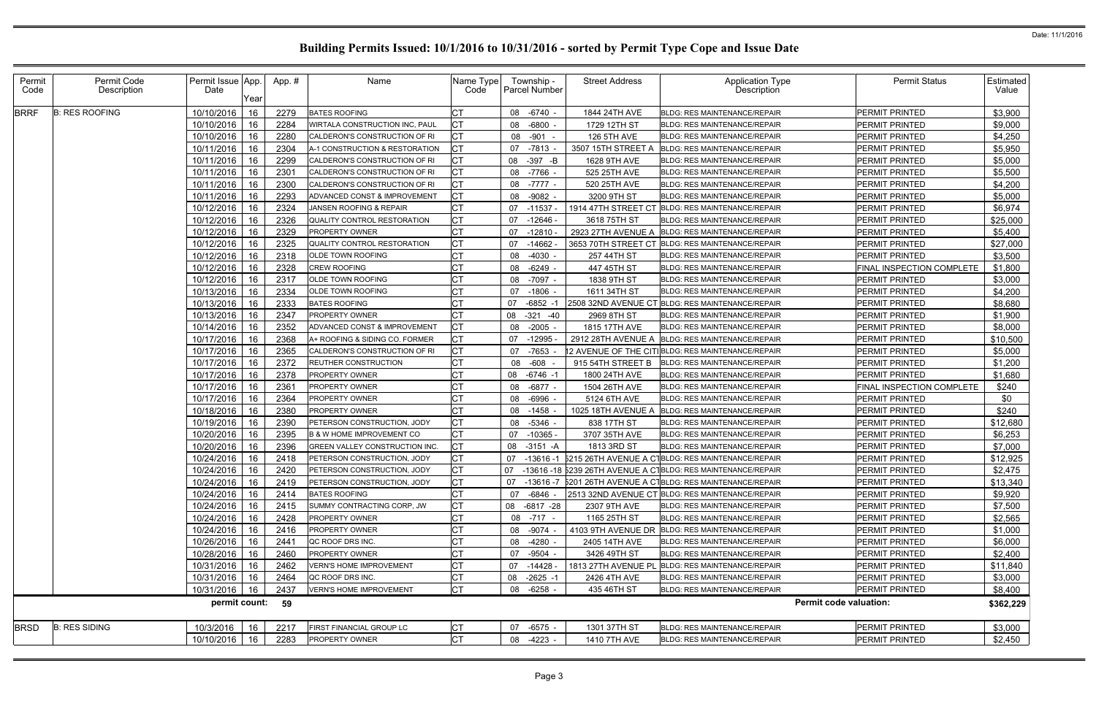| Permit<br>Code | Permit Code<br>Description | Permit Issue App.<br>Date<br>Year | App.# | Name                                  | Name Type<br>Code | Township -<br><b>Parcel Number</b> | <b>Street Address</b>        | <b>Application Type</b><br>Description                          | <b>Permit Status</b>          | Estimated  <br>Value |
|----------------|----------------------------|-----------------------------------|-------|---------------------------------------|-------------------|------------------------------------|------------------------------|-----------------------------------------------------------------|-------------------------------|----------------------|
| <b>BRRF</b>    | <b>B: RES ROOFING</b>      | 10/10/2016<br>16                  | 2279  | <b>BATES ROOFING</b>                  |                   | 08 -6740 -                         | 1844 24TH AVE                | <b>BLDG: RES MAINTENANCE/REPAIR</b>                             | <b>PERMIT PRINTED</b>         | \$3,900              |
|                |                            | 10/10/2016<br>16                  | 2284  | WIRTALA CONSTRUCTION INC, PAUL        | СT                | 08 -6800                           | 1729 12TH ST                 | <b>BLDG: RES MAINTENANCE/REPAIR</b>                             | <b>PERMIT PRINTED</b>         | \$9,000              |
|                |                            | 10/10/2016<br>16                  | 2280  | CALDERON'S CONSTRUCTION OF RI         | СT                | 08 -901 -                          | <b>126 5TH AVE</b>           | <b>BLDG: RES MAINTENANCE/REPAIR</b>                             | <b>PERMIT PRINTED</b>         | \$4,250              |
|                |                            | 10/11/2016<br>16                  | 2304  | A-1 CONSTRUCTION & RESTORATION        |                   | 07 -7813                           | 3507 15TH STREET A           | <b>BLDG: RES MAINTENANCE/REPAIR</b>                             | <b>PERMIT PRINTED</b>         | \$5,950              |
|                |                            | 10/11/2016<br>16                  | 2299  | CALDERON'S CONSTRUCTION OF RI         |                   | 08 - 397 - B                       | 1628 9TH AVE                 | <b>BLDG: RES MAINTENANCE/REPAIR</b>                             | PERMIT PRINTED                | \$5,000              |
|                |                            | 10/11/2016<br>16                  | 2301  | CALDERON'S CONSTRUCTION OF RI         |                   | 08 -7766 -                         | 525 25TH AVE                 | BLDG: RES MAINTENANCE/REPAIR                                    | PERMIT PRINTED                | \$5,500              |
|                |                            | 10/11/2016<br>16                  | 2300  | CALDERON'S CONSTRUCTION OF RI         | СT                | 08 -7777 -                         | 520 25TH AVE                 | <b>BLDG: RES MAINTENANCE/REPAIR</b>                             | <b>PERMIT PRINTED</b>         | \$4,200              |
|                |                            | 10/11/2016<br>-16                 | 2293  | ADVANCED CONST & IMPROVEMENT          |                   | 08 -9082 -                         | 3200 9TH ST                  | <b>BLDG: RES MAINTENANCE/REPAIR</b>                             | PERMIT PRINTED                | \$5,000              |
|                |                            | 10/12/2016<br>16                  | 2324  | JANSEN ROOFING & REPAIR               | <b>CT</b>         | 07<br>-11537                       |                              | 1914 47TH STREET CT BLDG: RES MAINTENANCE/REPAIR                | <b>PERMIT PRINTED</b>         | \$6,974              |
|                |                            | 16<br>10/12/2016                  | 2326  | QUALITY CONTROL RESTORATION           | СT                | 07<br>-12646 -                     | 3618 75TH ST                 | <b>BLDG: RES MAINTENANCE/REPAIR</b>                             | PERMIT PRINTED                | \$25,000             |
|                |                            | 10/12/2016<br>16                  | 2329  | <b>PROPERTY OWNER</b>                 | СT                | 07<br>$-12810$                     | 2923 27TH AVENUE A           | BLDG: RES MAINTENANCE/REPAIR                                    | <b>PERMIT PRINTED</b>         | \$5,400              |
|                |                            | 10/12/2016<br>16                  | 2325  | QUALITY CONTROL RESTORATION           | <b>CT</b>         | $-14662$<br>07                     |                              | 3653 70TH STREET CT BLDG: RES MAINTENANCE/REPAIR                | <b>PERMIT PRINTED</b>         | \$27,000             |
|                |                            | 10/12/2016<br>-16                 | 2318  | OLDE TOWN ROOFING                     | СT                | 08 -4030 -                         | 257 44TH ST                  | <b>BLDG: RES MAINTENANCE/REPAIR</b>                             | PERMIT PRINTED                | \$3,500              |
|                |                            | 10/12/2016<br>16                  | 2328  | <b>CREW ROOFING</b>                   | СT                | $-6249$ -<br>08                    | 447 45TH ST                  | <b>BLDG: RES MAINTENANCE/REPAIR</b>                             | FINAL INSPECTION COMPLETE     | \$1,800              |
|                |                            | 10/12/2016<br>16                  | 2317  | <b>OLDE TOWN ROOFING</b>              |                   | 08 -7097 -                         | 1838 9TH ST                  | <b>BLDG: RES MAINTENANCE/REPAIR</b>                             | PERMIT PRINTED                | \$3,000              |
|                |                            | 10/13/2016<br>16                  | 2334  | OLDE TOWN ROOFING                     | СT                | 07 -1806 -                         | 1611 34TH ST                 | BLDG: RES MAINTENANCE/REPAIR                                    | PERMIT PRINTED                | \$4,200              |
|                |                            | 10/13/2016<br>16                  | 2333  | <b>BATES ROOFING</b>                  |                   | 07<br>$-6852 -1$                   | 2508 32ND AVENUE CT          | <b>BLDG: RES MAINTENANCE/REPAIR</b>                             | <b>PERMIT PRINTED</b>         | \$8,680              |
|                |                            | 10/13/2016<br>16                  | 2347  | <b>PROPERTY OWNER</b>                 |                   | $-321 - 40$<br>08                  | 2969 8TH ST                  | <b>BLDG: RES MAINTENANCE/REPAIR</b>                             | <b>PERMIT PRINTED</b>         | \$1,900              |
|                |                            | 10/14/2016<br>16                  | 2352  | ADVANCED CONST & IMPROVEMENT          |                   | 08 -2005 -                         | 1815 17TH AVE                | <b>BLDG: RES MAINTENANCE/REPAIR</b>                             | <b>PERMIT PRINTED</b>         | \$8,000              |
|                |                            | 10/17/2016<br>16                  | 2368  | A+ ROOFING & SIDING CO. FORMER        |                   | 07 -12995                          | 2912 28TH AVENUE A           | BLDG: RES MAINTENANCE/REPAIR                                    | <b>PERMIT PRINTED</b>         | \$10,500             |
|                |                            | 10/17/2016<br>16                  | 2365  | CALDERON'S CONSTRUCTION OF RI         | СT                | 07 -7653                           | 2 AVENUE OF THE CITI         | <b>BLDG: RES MAINTENANCE/REPAIR</b>                             | <b>PERMIT PRINTED</b>         | \$5,000              |
|                |                            | 10/17/2016<br>16                  | 2372  | <b>REUTHER CONSTRUCTION</b>           | СT                | 08 -608                            | 915 54TH STREET B            | <b>BLDG: RES MAINTENANCE/REPAIR</b>                             | PERMIT PRINTED                | \$1,200              |
|                |                            | 10/17/2016<br>16                  | 2378  | PROPERTY OWNER                        |                   | -6746 -1<br>08                     | 1800 24TH AVE                | BLDG: RES MAINTENANCE/REPAIR                                    | PERMIT PRINTED                | \$1,680              |
|                |                            | 10/17/2016<br>16                  | 2361  | PROPERTY OWNER                        |                   | 08 - 6877 -                        | 1504 26TH AVE                | <b>BLDG: RES MAINTENANCE/REPAIR</b>                             | FINAL INSPECTION COMPLETE     | \$240                |
|                |                            | 10/17/2016<br>16                  | 2364  | PROPERTY OWNER                        | СT                | 08 -6996                           | 5124 6TH AVE                 | BLDG: RES MAINTENANCE/REPAIR                                    | PERMIT PRINTED                | \$0                  |
|                |                            | 10/18/2016<br>-16                 | 2380  | <b>PROPERTY OWNER</b>                 | СT                | $08 - 1458$                        | 1025 18TH AVENUE A           | <b>BLDG: RES MAINTENANCE/REPAIR</b>                             | <b>PERMIT PRINTED</b>         | \$240                |
|                |                            | 10/19/2016<br>16                  | 2390  | PETERSON CONSTRUCTION, JODY           | C1                | 08 -5346                           | 838 17TH ST                  | <b>BLDG: RES MAINTENANCE/REPAIR</b>                             | PERMIT PRINTED                | \$12,680             |
|                |                            | 16<br>10/20/2016                  | 2395  | B & W HOME IMPROVEMENT CO             | СT                |                                    |                              | <b>BLDG: RES MAINTENANCE/REPAIR</b>                             |                               | \$6,253              |
|                |                            |                                   |       | <b>GREEN VALLEY CONSTRUCTION INC.</b> |                   | 07<br>$-10365$<br>08 -3151 -A      | 3707 35TH AVE<br>1813 3RD ST | <b>BLDG: RES MAINTENANCE/REPAIR</b>                             | PERMIT PRINTED                |                      |
|                |                            | 10/20/2016<br>16<br>10/24/2016    | 2396  | PETERSON CONSTRUCTION, JODY           | СT                |                                    |                              |                                                                 | PERMIT PRINTED                | \$7,000              |
|                |                            | 16<br>10/24/2016 16               | 2418  |                                       | <b>CT</b>         | 07                                 |                              | -13616 -1 5215 26TH AVENUE A C1BLDG: RES MAINTENANCE/REPAIR     | PERMIT PRINTED                | \$12,925             |
|                |                            |                                   | 2420  | PETERSON CONSTRUCTION, JODY           |                   |                                    |                              | 07 -13616 -18 5239 26TH AVENUE A C1BLDG: RES MAINTENANCE/REPAIR | PERMIT PRINTED                | \$2,475              |
|                |                            | 10/24/2016<br>16                  | 2419  | <b>PETERSON CONSTRUCTION, JODY</b>    | СT                | 07<br>-13616 -7                    |                              | 5201 26TH AVENUE A C1BLDG: RES MAINTENANCE/REPAIR               | <b>PERMIT PRINTED</b>         | \$13,340             |
|                |                            | 10/24/2016<br>-16                 | 2414  | <b>BATES ROOFING</b>                  | СT                | 07 -6846 -                         |                              | 2513 32ND AVENUE CT BLDG: RES MAINTENANCE/REPAIR                | <b>PERMIT PRINTED</b>         | \$9,920              |
|                |                            | 10/24/2016<br>16                  | 2415  | SUMMY CONTRACTING CORP, JW            | <b>CT</b>         | 08 -6817 -28                       | 2307 9TH AVE                 | <b>BLDG: RES MAINTENANCE/REPAIR</b>                             | <b>PERMIT PRINTED</b>         | \$7,500              |
|                |                            | 10/24/2016   16                   | 2428  | <b>PROPERTY OWNER</b>                 | <b>CT</b>         | 08 -717 -                          | 1165 25TH ST                 | <b>BLDG: RES MAINTENANCE/REPAIR</b>                             | <b>PERMIT PRINTED</b>         | \$2,565              |
|                |                            | 10/24/2016<br>-16                 | 2416  | <b>PROPERTY OWNER</b>                 | СT                | 08 - 9074                          |                              | 4103 9TH AVENUE DR BLDG: RES MAINTENANCE/REPAIR                 | <b>PERMIT PRINTED</b>         | \$1,000              |
|                |                            | 10/26/2016<br>-16                 | 2441  | QC ROOF DRS INC.                      |                   | 08 -4280 -                         | 2405 14TH AVE                | <b>BLDG: RES MAINTENANCE/REPAIR</b>                             | <b>PERMIT PRINTED</b>         | \$6,000              |
|                |                            | 10/28/2016<br>16                  | 2460  | <b>PROPERTY OWNER</b>                 |                   | 07 -9504 -                         | 3426 49TH ST                 | BLDG: RES MAINTENANCE/REPAIR                                    | <b>PERMIT PRINTED</b>         | \$2,400              |
|                |                            | 10/31/2016<br>16                  | 2462  | <b>VERN'S HOME IMPROVEMENT</b>        | СT                | 07 -14428                          | 1813 27TH AVENUE PL          | <b>BLDG: RES MAINTENANCE/REPAIR</b>                             | PERMIT PRINTED                | \$11,840             |
|                |                            | 10/31/2016<br>-16                 | 2464  | QC ROOF DRS INC.                      | СT                | 08 -2625 -1                        | 2426 4TH AVE                 | <b>BLDG: RES MAINTENANCE/REPAIR</b>                             | <b>PERMIT PRINTED</b>         | \$3,000              |
|                |                            | 10/31/2016<br>16                  | 2437  | <b>VERN'S HOME IMPROVEMENT</b>        | СT                | 08 -6258 -                         | 435 46TH ST                  | <b>BLDG: RES MAINTENANCE/REPAIR</b>                             | PERMIT PRINTED                | \$8,400              |
|                |                            | permit count:                     | 59    |                                       |                   |                                    |                              |                                                                 | <b>Permit code valuation:</b> | \$362,229            |
| <b>BRSD</b>    | <b>B: RES SIDING</b>       | 10/3/2016<br>16                   | 2217  | FIRST FINANCIAL GROUP LC              | <b>CT</b>         | 07 -6575 -                         | 1301 37TH ST                 | BLDG: RES MAINTENANCE/REPAIR                                    | PERMIT PRINTED                | \$3,000              |
|                |                            |                                   |       |                                       |                   |                                    |                              |                                                                 |                               |                      |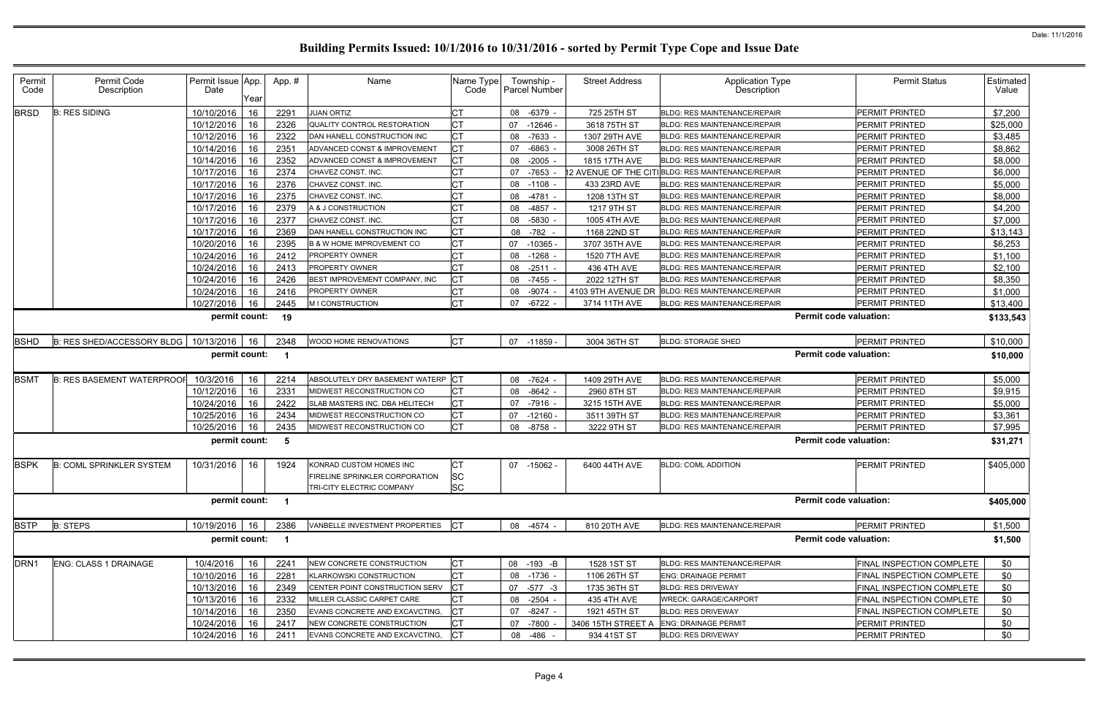| Permit<br>Code   | Permit Code<br>Description        | Permit Issue App.<br>Date | Year | App.#                   | Name                                  | Name Type<br>Code | Township -<br><b>Parcel Number</b> | <b>Street Address</b> | <b>Application Type</b><br><b>Description</b>     | <b>Permit Status</b>          | Estimated<br>Value |
|------------------|-----------------------------------|---------------------------|------|-------------------------|---------------------------------------|-------------------|------------------------------------|-----------------------|---------------------------------------------------|-------------------------------|--------------------|
| <b>BRSD</b>      | <b>B: RES SIDING</b>              | 10/10/2016                | 16   | 2291                    | <b>JUAN ORTIZ</b>                     | <b>CT</b>         | 08 -6379                           | 725 25TH ST           | <b>BLDG: RES MAINTENANCE/REPAIR</b>               | <b>PERMIT PRINTED</b>         | \$7,200            |
|                  |                                   | 10/12/2016                | 16   | 2326                    | QUALITY CONTROL RESTORATION           | <b>CT</b>         | 07 -12646 -                        | 3618 75TH ST          | <b>BLDG: RES MAINTENANCE/REPAIR</b>               | PERMIT PRINTED                | \$25,000           |
|                  |                                   | 10/12/2016                | 16   | 2322                    | DAN HANELL CONSTRUCTION INC           | <b>CT</b>         | 08 -7633 -                         | 1307 29TH AVE         | <b>BLDG: RES MAINTENANCE/REPAIR</b>               | <b>PERMIT PRINTED</b>         | \$3,485            |
|                  |                                   | 10/14/2016                | 16   | 2351                    | ADVANCED CONST & IMPROVEMENT          | <b>CT</b>         | $-6863 -$<br>07                    | 3008 26TH ST          | <b>BLDG: RES MAINTENANCE/REPAIR</b>               | PERMIT PRINTED                | \$8,862            |
|                  |                                   | 10/14/2016                | 16   | 2352                    | ADVANCED CONST & IMPROVEMENT          | <b>CT</b>         | 08 -2005 -                         | 1815 17TH AVE         | BLDG: RES MAINTENANCE/REPAIR                      | <b>PERMIT PRINTED</b>         | \$8,000            |
|                  |                                   | 10/17/2016                | 16   | 2374                    | CHAVEZ CONST. INC.                    | <b>CT</b>         | 07 -7653                           |                       | 12 AVENUE OF THE CITIBLDG: RES MAINTENANCE/REPAIR | PERMIT PRINTED                | \$6,000            |
|                  |                                   | 10/17/2016                | 16   | 2376                    | CHAVEZ CONST. INC.                    | <b>CT</b>         | 08 -1108 -                         | 433 23RD AVE          | <b>BLDG: RES MAINTENANCE/REPAIR</b>               | <b>PERMIT PRINTED</b>         | \$5,000            |
|                  |                                   | 10/17/2016                | 16   | 2375                    | CHAVEZ CONST. INC.                    | <b>CT</b>         | 08 -4781                           | 1208 13TH ST          | <b>BLDG: RES MAINTENANCE/REPAIR</b>               | <b>PERMIT PRINTED</b>         | \$8,000            |
|                  |                                   | 10/17/2016                | 16   | 2379                    | A & J CONSTRUCTION                    | СT                | 08 -4857 -                         | 1217 9TH ST           | BLDG: RES MAINTENANCE/REPAIR                      | PERMIT PRINTED                | \$4,200            |
|                  |                                   | 10/17/2016                | 16   | 2377                    | CHAVEZ CONST. INC.                    | <b>CT</b>         | 08 -5830                           | 1005 4TH AVE          | <b>BLDG: RES MAINTENANCE/REPAIR</b>               | <b>PERMIT PRINTED</b>         | \$7,000            |
|                  |                                   | 10/17/2016                | 16   | 2369                    | DAN HANELL CONSTRUCTION INC           | <b>CT</b>         | 08<br>-782 -                       | 1168 22ND ST          | BLDG: RES MAINTENANCE/REPAIR                      | PERMIT PRINTED                | \$13,143           |
|                  |                                   | 10/20/2016                | 16   | 2395                    | <b>B &amp; W HOME IMPROVEMENT CO</b>  | <b>CT</b>         | 07 -10365 -                        | 3707 35TH AVE         | <b>BLDG: RES MAINTENANCE/REPAIR</b>               | <b>PERMIT PRINTED</b>         | \$6,253            |
|                  |                                   | 10/24/2016                | 16   | 2412                    | <b>PROPERTY OWNER</b>                 | <b>CT</b>         | 08 -1268 -                         | 1520 7TH AVE          | <b>BLDG: RES MAINTENANCE/REPAIR</b>               | <b>PERMIT PRINTED</b>         | \$1,100            |
|                  |                                   | 10/24/2016                | 16   | 2413                    | <b>PROPERTY OWNER</b>                 | <b>CT</b>         | 08 -2511 -                         | 436 4TH AVE           | BLDG: RES MAINTENANCE/REPAIR                      | <b>PERMIT PRINTED</b>         | \$2,100            |
|                  |                                   | 10/24/2016                | 16   | 2426                    | BEST IMPROVEMENT COMPANY, INC         | <b>CT</b>         | 08 -7455 -                         | 2022 12TH ST          | BLDG: RES MAINTENANCE/REPAIR                      | PERMIT PRINTED                | \$8,350            |
|                  |                                   | 10/24/2016                | 16   | 2416                    | <b>PROPERTY OWNER</b>                 | СT                | 08 -9074 -                         | 4103 9TH AVENUE DR    | <b>BLDG: RES MAINTENANCE/REPAIR</b>               | <b>PERMIT PRINTED</b>         | \$1,000            |
|                  |                                   | 10/27/2016                | 16   | 2445                    | M I CONSTRUCTION                      | Iст               | $-6722 -$<br>07                    | 3714 11TH AVE         | BLDG: RES MAINTENANCE/REPAIR                      | <b>PERMIT PRINTED</b>         | \$13,400           |
|                  |                                   | permit count:             |      | 19                      |                                       |                   |                                    |                       |                                                   | <b>Permit code valuation:</b> | \$133,543          |
| <b>BSHD</b>      | B: RES SHED/ACCESSORY BLDG        | 10/13/2016                | 16   | 2348                    | WOOD HOME RENOVATIONS                 | <b>CT</b>         | 07 -11859 -                        | 3004 36TH ST          | <b>BLDG: STORAGE SHED</b>                         | <b>PERMIT PRINTED</b>         | \$10,000           |
|                  |                                   | permit count:             |      | $\overline{1}$          |                                       |                   |                                    |                       |                                                   | <b>Permit code valuation:</b> | \$10,000           |
| <b>BSMT</b>      | <b>B: RES BASEMENT WATERPROOF</b> | 10/3/2016                 | 16   | 2214                    | ABSOLUTELY DRY BASEMENT WATERP CT     |                   | 08 -7624                           | 1409 29TH AVE         | <b>BLDG: RES MAINTENANCE/REPAIR</b>               | <b>PERMIT PRINTED</b>         | \$5,000            |
|                  |                                   | 10/12/2016                | 16   | 2331                    | MIDWEST RECONSTRUCTION CO             | <b>CT</b>         | 08 -8642 -                         | 2960 8TH ST           | <b>BLDG: RES MAINTENANCE/REPAIR</b>               | <b>PERMIT PRINTED</b>         | \$9,915            |
|                  |                                   | 10/24/2016                | 16   | 2422                    | SLAB MASTERS INC. DBA HELITECH        | <b>CT</b>         | $-7916 -$<br>07                    | 3215 15TH AVE         | <b>BLDG: RES MAINTENANCE/REPAIR</b>               | <b>PERMIT PRINTED</b>         | \$5,000            |
|                  |                                   | 10/25/2016                | 16   | 2434                    | MIDWEST RECONSTRUCTION CO             | <b>CT</b>         | 07 -12160 -                        | 3511 39TH ST          | <b>BLDG: RES MAINTENANCE/REPAIR</b>               | PERMIT PRINTED                | \$3,361            |
|                  |                                   | 10/25/2016                | 16   | 2435                    | MIDWEST RECONSTRUCTION CO             | <b>ICT</b>        | 08 -8758 -                         | 3222 9TH ST           | BLDG: RES MAINTENANCE/REPAIR                      | <b>PERMIT PRINTED</b>         | \$7,995            |
|                  |                                   | permit count:             |      | -5                      |                                       |                   |                                    |                       |                                                   | <b>Permit code valuation:</b> | \$31,271           |
| <b>BSPK</b>      | <b>B: COML SPRINKLER SYSTEM</b>   | 10/31/2016 16             |      | 1924                    | KONRAD CUSTOM HOMES INC               | <b>CT</b>         | 07 -15062 -                        | 6400 44TH AVE         | <b>BLDG: COML ADDITION</b>                        | <b>PERMIT PRINTED</b>         | \$405,000          |
|                  |                                   |                           |      |                         | <b>FIRELINE SPRINKLER CORPORATION</b> | <b>SC</b>         |                                    |                       |                                                   |                               |                    |
|                  |                                   |                           |      |                         | TRI-CITY ELECTRIC COMPANY             | <b>SC</b>         |                                    |                       |                                                   |                               |                    |
|                  |                                   | permit count: 1           |      |                         |                                       |                   |                                    |                       |                                                   | <b>Permit code valuation:</b> | \$405,000          |
| <b>BSTP</b>      | <b>B: STEPS</b>                   | 10/19/2016                | 16   | 2386                    | VANBELLE INVESTMENT PROPERTIES        | <b>ICT</b>        | 08 -4574 -                         | 810 20TH AVE          | <b>BLDG: RES MAINTENANCE/REPAIR</b>               | PERMIT PRINTED                | \$1,500            |
|                  |                                   | permit count:             |      | $\overline{\mathbf{1}}$ |                                       |                   |                                    |                       |                                                   | <b>Permit code valuation:</b> | \$1,500            |
| DRN <sub>1</sub> | <b>ENG: CLASS 1 DRAINAGE</b>      | 10/4/2016                 | 16   | 2241                    | NEW CONCRETE CONSTRUCTION             | <b>CT</b>         | 08 -193 -B                         | 1528 1ST ST           | <b>BLDG: RES MAINTENANCE/REPAIR</b>               | FINAL INSPECTION COMPLETE     | \$0                |
|                  |                                   | 10/10/2016                | 16   | 2281                    | <b>KLARKOWSKI CONSTRUCTION</b>        | <b>CT</b>         | 08 -1736 -                         | 1106 26TH ST          | <b>ENG: DRAINAGE PERMIT</b>                       | FINAL INSPECTION COMPLETE     | \$0                |
|                  |                                   | 10/13/2016                | 16   | 2349                    | CENTER POINT CONSTRUCTION SERV        | <b>ICT</b>        | 07 -577 -3                         | 1735 36TH ST          | <b>BLDG: RES DRIVEWAY</b>                         | FINAL INSPECTION COMPLETE     | \$0                |
|                  |                                   | 10/13/2016                | 16   | 2332                    | MILLER CLASSIC CARPET CARE            | <b>CT</b>         | 08 -2504 -                         | 435 4TH AVE           | <b>WRECK: GARAGE/CARPORT</b>                      | FINAL INSPECTION COMPLETE     | \$0                |
|                  |                                   | 10/14/2016                | 16   | 2350                    | EVANS CONCRETE AND EXCAVCTING,        |                   | 07 -8247 -                         | 1921 45TH ST          | <b>BLDG: RES DRIVEWAY</b>                         | FINAL INSPECTION COMPLETE     | \$0                |
|                  |                                   | 10/24/2016                | 16   | 2417                    | NEW CONCRETE CONSTRUCTION             | СT                | 07 -7800                           | 3406 15TH STREET A    | <b>ENG: DRAINAGE PERMIT</b>                       | PERMIT PRINTED                | \$0                |
|                  |                                   | 10/24/2016                | 16   | 2411                    | EVANS CONCRETE AND EXCAVCTING,        | <b>ICT</b>        | 08 -486 -                          | 934 41ST ST           | <b>BLDG: RES DRIVEWAY</b>                         | PERMIT PRINTED                | \$0                |
|                  |                                   |                           |      |                         |                                       |                   |                                    |                       |                                                   |                               |                    |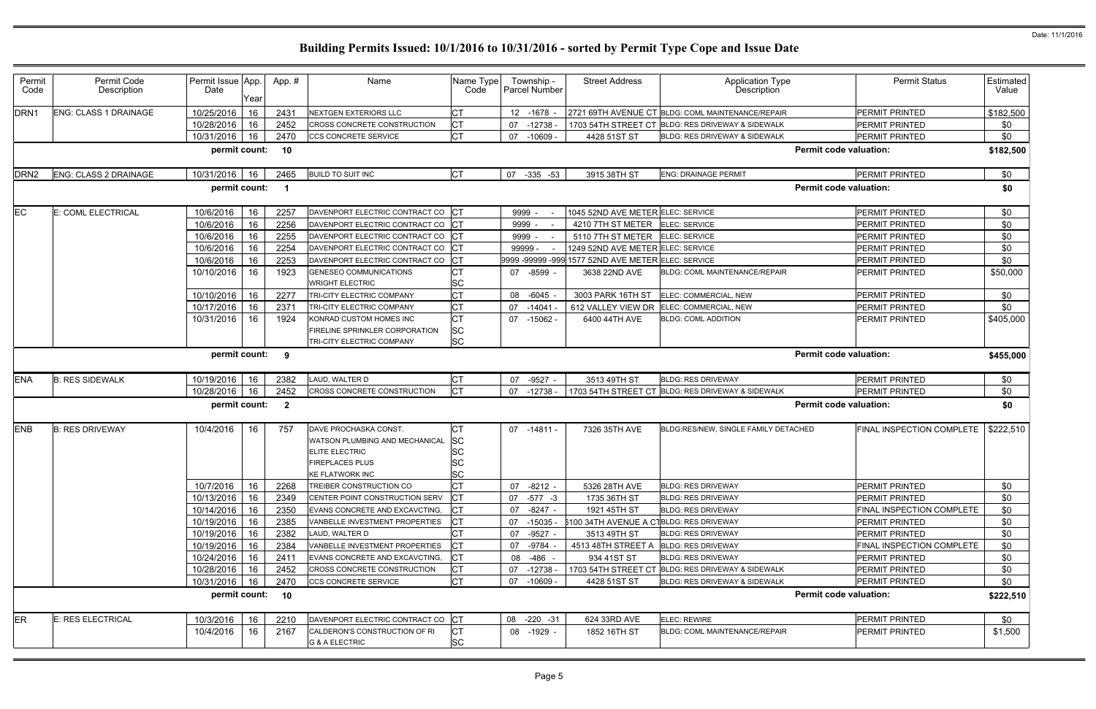| Permit<br>Code   | Permit Code<br>Description | Permit Issue App.<br>Date | Year | App.#          | Name                                                       | Name Type<br>Code       | Township -<br><b>Parcel Number</b> | <b>Street Address</b>                              | <b>Application Type</b><br>Description            | <b>Permit Status</b>             | Estimated<br>Value |
|------------------|----------------------------|---------------------------|------|----------------|------------------------------------------------------------|-------------------------|------------------------------------|----------------------------------------------------|---------------------------------------------------|----------------------------------|--------------------|
| DRN1             | ENG: CLASS 1 DRAINAGE      | 10/25/2016                | 16   | 2431           | <b>NEXTGEN EXTERIORS LLC</b>                               | <b>CT</b>               | 12 -1678 -                         |                                                    | 2721 69TH AVENUE CT BLDG: COML MAINTENANCE/REPAIR | <b>PERMIT PRINTED</b>            | \$182,500          |
|                  |                            | 10/28/2016                | 16   | 2452           | <b>CROSS CONCRETE CONSTRUCTION</b>                         | <b>CT</b>               | $-12738$<br>07                     |                                                    | 1703 54TH STREET CT BLDG: RES DRIVEWAY & SIDEWALK | <b>PERMIT PRINTED</b>            | \$0                |
|                  |                            | 10/31/2016                | 16   | 2470           | CCS CONCRETE SERVICE                                       | <b>CT</b>               | 07<br>$-10609$                     | 4428 51ST ST                                       | BLDG: RES DRIVEWAY & SIDEWALK                     | PERMIT PRINTED                   | \$0                |
|                  |                            | permit count: 10          |      |                |                                                            |                         |                                    |                                                    |                                                   | <b>Permit code valuation:</b>    | \$182,500          |
| DRN <sub>2</sub> | ENG: CLASS 2 DRAINAGE      | 10/31/2016                | 16   | 2465           | <b>BUILD TO SUIT INC</b>                                   | <b>CT</b>               | 07<br>$-335 -53$                   | 3915 38TH ST                                       | <b>ENG: DRAINAGE PERMIT</b>                       | <b>PERMIT PRINTED</b>            | \$0                |
|                  |                            | permit count:             |      |                |                                                            |                         |                                    |                                                    |                                                   | <b>Permit code valuation:</b>    | \$0                |
| EС               | E: COML ELECTRICAL         | 10/6/2016                 | 16   | 2257           | DAVENPORT ELECTRIC CONTRACT CO CT                          |                         | 9999 -                             | 1045 52ND AVE METER ELEC: SERVICE                  |                                                   | PERMIT PRINTED                   | \$0                |
|                  |                            | 10/6/2016                 | 16   | 2256           | DAVENPORT ELECTRIC CONTRACT CO                             |                         | 9999 -                             | 4210 7TH ST METER                                  | ELEC: SERVICE                                     | PERMIT PRINTED                   | \$0                |
|                  |                            | 10/6/2016                 | 16   | 2255           | DAVENPORT ELECTRIC CONTRACT CO CT                          |                         | 9999 -                             | 5110 7TH ST METER ELEC: SERVICE                    |                                                   | <b>PERMIT PRINTED</b>            | \$0                |
|                  |                            | 10/6/2016                 | 16   | 2254           | DAVENPORT ELECTRIC CONTRACT CO CT                          |                         | 99999                              | 1249 52ND AVE METER ELEC: SERVICE                  |                                                   | <b>PERMIT PRINTED</b>            | \$0                |
|                  |                            | 10/6/2016                 | 16   | 2253           | DAVENPORT ELECTRIC CONTRACT CO CT                          |                         |                                    | 9999 -99999 -999 1577 52ND AVE METER ELEC: SERVICE |                                                   | PERMIT PRINTED                   | \$0                |
|                  |                            | 10/10/2016                | 16   | 1923           | <b>GENESEO COMMUNICATIONS</b><br><b>WRIGHT ELECTRIC</b>    | <b>CT</b><br><b>SC</b>  | 07 -8599 -                         | 3638 22ND AVE                                      | BLDG: COML MAINTENANCE/REPAIR                     | <b>PERMIT PRINTED</b>            | \$50,000           |
|                  |                            | 10/10/2016                | 16   | 2277           | TRI-CITY ELECTRIC COMPANY                                  | <b>CT</b>               | 08<br>$-6045$ -                    | 3003 PARK 16TH ST                                  | <b>ELEC: COMMERCIAL, NEW</b>                      | PERMIT PRINTED                   | \$0                |
|                  |                            | 10/17/2016                | 16   | 2371           | TRI-CITY ELECTRIC COMPANY                                  | <b>CT</b>               | $-14041$<br>07                     |                                                    | 612 VALLEY VIEW DR ELEC: COMMERCIAL, NEW          | PERMIT PRINTED                   | \$0                |
|                  |                            | 10/31/2016                | 16   | 1924           | KONRAD CUSTOM HOMES INC<br>FIRELINE SPRINKLER CORPORATION  | <b>CT</b><br><b>SC</b>  | 07 -15062 -                        | 6400 44TH AVE                                      | <b>BLDG: COML ADDITION</b>                        | <b>PERMIT PRINTED</b>            | \$405,000          |
|                  |                            |                           |      |                | TRI-CITY ELECTRIC COMPANY                                  | <b>SC</b>               |                                    |                                                    |                                                   |                                  |                    |
|                  |                            | permit count:             |      | - 9            |                                                            |                         |                                    |                                                    |                                                   | <b>Permit code valuation:</b>    | \$455,000          |
| ENA              | <b>B: RES SIDEWALK</b>     | 10/19/2016                | 16   | 2382           | LAUD. WALTER D                                             | <b>CT</b>               | 07<br>-9527 -                      | 3513 49TH ST                                       | <b>BLDG: RES DRIVEWAY</b>                         | <b>PERMIT PRINTED</b>            | \$0                |
|                  |                            | 10/28/2016                | 16   | 2452           | CROSS CONCRETE CONSTRUCTION                                | Iст                     | 07<br>$-12738 -$                   |                                                    | 1703 54TH STREET CT BLDG: RES DRIVEWAY & SIDEWALK | PERMIT PRINTED                   | \$0                |
|                  |                            | permit count:             |      | $\overline{2}$ |                                                            |                         |                                    |                                                    |                                                   | <b>Permit code valuation:</b>    | \$0                |
| ENB              | <b>B: RES DRIVEWAY</b>     | 10/4/2016                 | 16   | 757            | DAVE PROCHASKA CONST.<br>WATSON PLUMBING AND MECHANICAL    | <b>CT</b><br><b>ISC</b> | 07 -14811 -                        | 7326 35TH AVE                                      | BLDG:RES/NEW, SINGLE FAMILY DETACHED              | FINAL INSPECTION COMPLETE        | \$222,510          |
|                  |                            |                           |      |                | <b>ELITE ELECTRIC</b>                                      | <b>SC</b>               |                                    |                                                    |                                                   |                                  |                    |
|                  |                            |                           |      |                | <b>FIREPLACES PLUS</b>                                     | <b>SC</b>               |                                    |                                                    |                                                   |                                  |                    |
|                  |                            |                           |      |                | <b>KE FLATWORK INC</b>                                     | <b>SC</b>               |                                    |                                                    |                                                   |                                  |                    |
|                  |                            | 10/7/2016                 | 16   | 2268           | TREIBER CONSTRUCTION CO                                    | <b>CT</b>               | 07 -8212 -                         | 5326 28TH AVE                                      | <b>BLDG: RES DRIVEWAY</b>                         | <b>PERMIT PRINTED</b>            | \$0                |
|                  |                            | 10/13/2016                | 16   | 2349           | CENTER POINT CONSTRUCTION SERV                             | Iст                     | 07 -577 -3                         | 1735 36TH ST                                       | <b>BLDG: RES DRIVEWAY</b>                         | PERMIT PRINTED                   | \$0                |
|                  |                            | 10/14/2016                | 16   | 2350           | EVANS CONCRETE AND EXCAVCTING,                             | IСT                     | 07 -8247 -                         | 1921 45TH ST                                       | <b>BLDG: RES DRIVEWAY</b>                         | FINAL INSPECTION COMPLETE        | \$0                |
|                  |                            | 10/19/2016                | 16   | 2385           | VANBELLE INVESTMENT PROPERTIES                             | СT                      | 07<br>$-15035 -$                   | 6100 34TH AVENUE A C1BLDG: RES DRIVEWAY            |                                                   | <b>PERMIT PRINTED</b>            | \$0                |
|                  |                            | 10/19/2016                | 16   | 2382           | LAUD, WALTER D                                             | СT                      | -9527 -<br>07                      | 3513 49TH ST                                       | <b>BLDG: RES DRIVEWAY</b>                         | PERMIT PRINTED                   | \$0                |
|                  |                            | 10/19/2016                | 16   | 2384           | VANBELLE INVESTMENT PROPERTIES                             | IСТ                     | 07 -9784                           | 4513 48TH STREET A                                 | <b>BLDG: RES DRIVEWAY</b>                         | <b>FINAL INSPECTION COMPLETE</b> | \$0                |
|                  |                            | 10/24/2016                | 16   | 2411           | EVANS CONCRETE AND EXCAVCTING,                             | СT                      | 08 -486                            | 934 41ST ST                                        | <b>BLDG: RES DRIVEWAY</b>                         | PERMIT PRINTED                   | \$0                |
|                  |                            | 10/28/2016                | 16   | 2452           | CROSS CONCRETE CONSTRUCTION                                | СT                      | 07<br>-12738 -                     |                                                    | 1703 54TH STREET CT BLDG: RES DRIVEWAY & SIDEWALK | PERMIT PRINTED                   | \$0                |
|                  |                            | 10/31/2016                | 16   | 2470           | CCS CONCRETE SERVICE                                       | Iст                     | 07<br>-10609 -                     | 4428 51ST ST                                       | <b>BLDG: RES DRIVEWAY &amp; SIDEWALK</b>          | <b>PERMIT PRINTED</b>            | \$0                |
|                  |                            | permit count: 10          |      |                |                                                            |                         |                                    |                                                    |                                                   | <b>Permit code valuation:</b>    | \$222,510          |
| ER               | E: RES ELECTRICAL          | 10/3/2016                 | 16   | 2210           | DAVENPORT ELECTRIC CONTRACT CO CT                          |                         | 08 -220 -31                        | 624 33RD AVE                                       | ELEC: REWIRE                                      | PERMIT PRINTED                   | \$0                |
|                  |                            | 10/4/2016                 | 16   | 2167           | CALDERON'S CONSTRUCTION OF RI<br><b>G &amp; A ELECTRIC</b> | CT<br><b>SC</b>         | 08 -1929 -                         | 1852 16TH ST                                       | <b>BLDG: COML MAINTENANCE/REPAIR</b>              | <b>PERMIT PRINTED</b>            | \$1,500            |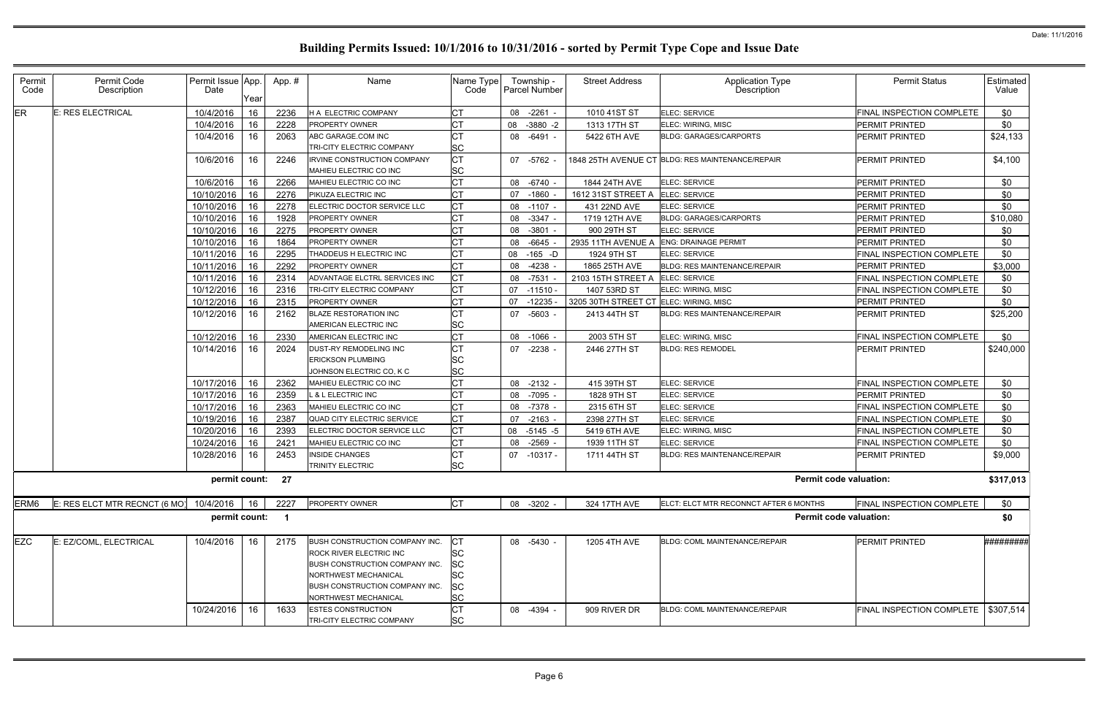| Permit<br>Code | Permit Code<br>Description    | Permit Issue App.<br>Date | Year | App.# | Name                                                                                                                                                         | Name Type<br>Code                  | Township -<br>Parcel Number | <b>Street Address</b>                  | Application Type<br>Description                  | <b>Permit Status</b>                               | Estimated<br>Value |
|----------------|-------------------------------|---------------------------|------|-------|--------------------------------------------------------------------------------------------------------------------------------------------------------------|------------------------------------|-----------------------------|----------------------------------------|--------------------------------------------------|----------------------------------------------------|--------------------|
| ER             | E: RES ELECTRICAL             | 10/4/2016                 | 16   | 2236  | H A ELECTRIC COMPANY                                                                                                                                         | <b>CT</b>                          | 08 -2261 -                  | 1010 41ST ST                           | ELEC: SERVICE                                    | FINAL INSPECTION COMPLETE                          | \$0                |
|                |                               | 10/4/2016                 | 16   | 2228  | PROPERTY OWNER                                                                                                                                               | <b>CT</b>                          | 08<br>$-3880 -2$            | 1313 17TH ST                           | ELEC: WIRING, MISC                               | <b>PERMIT PRINTED</b>                              | \$0                |
|                |                               | 10/4/2016                 | 16   | 2063  | ABC GARAGE.COM INC                                                                                                                                           | <b>CT</b>                          | 08 -6491 -                  | 5422 6TH AVE                           | <b>BLDG: GARAGES/CARPORTS</b>                    | PERMIT PRINTED                                     | \$24,133           |
|                |                               |                           |      |       | TRI-CITY ELECTRIC COMPANY                                                                                                                                    | <b>SC</b>                          |                             |                                        |                                                  |                                                    |                    |
|                |                               | 10/6/2016                 | 16   | 2246  | <b>IRVINE CONSTRUCTION COMPANY</b>                                                                                                                           | <b>CT</b>                          | 07 -5762 -                  |                                        | 1848 25TH AVENUE CT BLDG: RES MAINTENANCE/REPAIR | <b>PERMIT PRINTED</b>                              | \$4,100            |
|                |                               |                           |      |       | MAHIEU ELECTRIC CO INC                                                                                                                                       | <b>SC</b>                          |                             |                                        |                                                  |                                                    |                    |
|                |                               | 10/6/2016                 | 16   | 2266  | MAHIEU ELECTRIC CO INC                                                                                                                                       | <b>CT</b>                          | 08 -6740 -                  | 1844 24TH AVE                          | ELEC: SERVICE                                    | PERMIT PRINTED                                     | \$0                |
|                |                               | 10/10/2016                | 16   | 2276  | PIKUZA ELECTRIC INC                                                                                                                                          | <b>CT</b>                          | 07 -1860 -                  | 1612 31ST STREET A                     | ELEC: SERVICE                                    | PERMIT PRINTED                                     | \$0                |
|                |                               | 10/10/2016                | 16   | 2278  | ELECTRIC DOCTOR SERVICE LLC                                                                                                                                  | <b>CT</b>                          | 08 -1107 -                  | 431 22ND AVE                           | <b>ELEC: SERVICE</b>                             | PERMIT PRINTED                                     | \$0                |
|                |                               | 10/10/2016                | 16   | 1928  | <b>PROPERTY OWNER</b>                                                                                                                                        | <b>CT</b>                          | 08 -3347 -                  | 1719 12TH AVE                          | <b>BLDG: GARAGES/CARPORTS</b>                    | PERMIT PRINTED                                     | \$10,080           |
|                |                               | 10/10/2016                | 16   | 2275  | PROPERTY OWNER                                                                                                                                               | <b>CT</b>                          | $-3801 -$<br>08             | 900 29TH ST                            | ELEC: SERVICE                                    | PERMIT PRINTED                                     | \$0                |
|                |                               | 10/10/2016                | 16   | 1864  | <b>PROPERTY OWNER</b>                                                                                                                                        | <b>CT</b>                          | 08<br>-6645 -               | 2935 11TH AVENUE A                     | <b>ENG: DRAINAGE PERMIT</b>                      | PERMIT PRINTED                                     | \$0                |
|                |                               | 10/11/2016                | 16   | 2295  | THADDEUS H ELECTRIC INC                                                                                                                                      | <b>CT</b>                          | 08<br>-165 -D               | 1924 9TH ST                            | ELEC: SERVICE                                    | FINAL INSPECTION COMPLETE                          | \$0                |
|                |                               | 10/11/2016                | 16   | 2292  | <b>PROPERTY OWNER</b>                                                                                                                                        | <b>CT</b>                          | 08<br>-4238 -               | 1865 25TH AVE                          | <b>BLDG: RES MAINTENANCE/REPAIR</b>              | <b>PERMIT PRINTED</b>                              | \$3,000            |
|                |                               | 10/11/2016                | 16   | 2314  | ADVANTAGE ELCTRL SERVICES INC                                                                                                                                | <b>CT</b>                          | 08 -7531                    | 2103 15TH STREET A                     | <b>ELEC: SERVICE</b>                             | FINAL INSPECTION COMPLETE                          | \$0                |
|                |                               | 10/12/2016                | 16   | 2316  | TRI-CITY ELECTRIC COMPANY                                                                                                                                    | <b>CT</b>                          | 07<br>-11510 -              | 1407 53RD ST                           | ELEC: WIRING, MISC                               | FINAL INSPECTION COMPLETE                          | \$0                |
|                |                               | 10/12/2016                | 16   | 2315  | <b>PROPERTY OWNER</b>                                                                                                                                        | <b>CT</b>                          | 07<br>$-12235 -$            | 3205 30TH STREET CT ELEC: WIRING, MISC |                                                  | PERMIT PRINTED                                     | \$0                |
|                |                               | 10/12/2016                | 16   | 2162  | BLAZE RESTORATION INC                                                                                                                                        | <b>CT</b>                          | 07 -5603 -                  | 2413 44TH ST                           | <b>BLDG: RES MAINTENANCE/REPAIR</b>              | <b>PERMIT PRINTED</b>                              | \$25,200           |
|                |                               |                           |      |       | AMERICAN ELECTRIC INC                                                                                                                                        | SC                                 |                             |                                        |                                                  |                                                    |                    |
|                |                               | 10/12/2016                | 16   | 2330  | AMERICAN ELECTRIC INC                                                                                                                                        | <b>CT</b>                          | 08 -1066 -                  | 2003 5TH ST                            | ELEC: WIRING, MISC                               | FINAL INSPECTION COMPLETE                          | \$0                |
|                |                               | 10/14/2016                | 16   | 2024  | DUST-RY REMODELING INC                                                                                                                                       | C <sub>T</sub>                     | 07 -2238 -                  | 2446 27TH ST                           | <b>BLDG: RES REMODEL</b>                         | <b>PERMIT PRINTED</b>                              | \$240,000          |
|                |                               |                           |      |       | <b>ERICKSON PLUMBING</b><br>JOHNSON ELECTRIC CO, K C                                                                                                         | SC<br><b>SC</b>                    |                             |                                        |                                                  |                                                    |                    |
|                |                               | 10/17/2016                | 16   | 2362  |                                                                                                                                                              | <b>CT</b>                          | 08 -2132 -                  | 415 39TH ST                            | ELEC: SERVICE                                    | FINAL INSPECTION COMPLETE                          | \$0                |
|                |                               | 10/17/2016                | 16   | 2359  | MAHIEU ELECTRIC CO INC<br>L & L ELECTRIC INC                                                                                                                 | <b>CT</b>                          |                             |                                        | <b>ELEC: SERVICE</b>                             |                                                    | \$0                |
|                |                               | 10/17/2016                | 16   | 2363  | MAHIEU ELECTRIC CO INC                                                                                                                                       | <b>CT</b>                          | 08 -7095 -<br>08 -7378 -    | 1828 9TH ST<br>2315 6TH ST             | <b>ELEC: SERVICE</b>                             | <b>PERMIT PRINTED</b><br>FINAL INSPECTION COMPLETE | \$0                |
|                |                               | 10/19/2016                | 16   | 2387  | QUAD CITY ELECTRIC SERVICE                                                                                                                                   | <b>CT</b>                          | 07<br>$-2163 -$             | 2398 27TH ST                           | ELEC: SERVICE                                    | FINAL INSPECTION COMPLETE                          | \$0                |
|                |                               | 10/20/2016                | 16   | 2393  | ELECTRIC DOCTOR SERVICE LLC                                                                                                                                  | <b>CT</b>                          | 08 -5145 -5                 | 5419 6TH AVE                           | ELEC: WIRING, MISC                               | FINAL INSPECTION COMPLETE                          | \$0                |
|                |                               | 10/24/2016                | 16   | 2421  | MAHIEU ELECTRIC CO INC                                                                                                                                       | <b>CT</b>                          | $-2569 -$<br>08             | 1939 11TH ST                           | ELEC: SERVICE                                    | FINAL INSPECTION COMPLETE                          | \$0                |
|                |                               | 10/28/2016                | 16   | 2453  | <b>INSIDE CHANGES</b>                                                                                                                                        | СT                                 | 07 -10317 -                 | 1711 44TH ST                           | <b>BLDG: RES MAINTENANCE/REPAIR</b>              | <b>PERMIT PRINTED</b>                              | \$9,000            |
|                |                               |                           |      |       | TRINITY ELECTRIC                                                                                                                                             | <b>SC</b>                          |                             |                                        |                                                  |                                                    |                    |
|                |                               | permit count: 27          |      |       |                                                                                                                                                              |                                    |                             |                                        |                                                  | <b>Permit code valuation:</b>                      | \$317,013          |
| ERM6           | E: RES ELCT MTR RECNCT (6 MO) | 10/4/2016                 | 16   | 2227  | PROPERTY OWNER                                                                                                                                               | <b>CT</b>                          | 08 -3202 -                  | 324 17TH AVE                           | ELCT: ELCT MTR RECONNCT AFTER 6 MONTHS           | FINAL INSPECTION COMPLETE                          | \$0                |
|                |                               | permit count:             |      | - 1   |                                                                                                                                                              |                                    |                             |                                        |                                                  | <b>Permit code valuation:</b>                      | \$0                |
| EZC            | E: EZ/COML, ELECTRICAL        | 10/4/2016                 | 16   | 2175  | BUSH CONSTRUCTION COMPANY INC.<br>ROCK RIVER ELECTRIC INC<br><b>BUSH CONSTRUCTION COMPANY INC.</b><br>NORTHWEST MECHANICAL<br>BUSH CONSTRUCTION COMPANY INC. | <b>SC</b><br>SC<br><b>SC</b><br>SC | 08 -5430 -                  | 1205 4TH AVE                           | BLDG: COML MAINTENANCE/REPAIR                    | PERMIT PRINTED                                     | #########          |
|                |                               |                           |      |       | <b>NORTHWEST MECHANICAL</b>                                                                                                                                  | <b>SC</b>                          |                             |                                        |                                                  |                                                    |                    |
|                |                               | 10/24/2016                | 16   | 1633  | <b>ESTES CONSTRUCTION</b><br>TRI-CITY ELECTRIC COMPANY                                                                                                       | <b>CT</b><br><b>SC</b>             | 08 -4394 -                  | 909 RIVER DR                           | BLDG: COML MAINTENANCE/REPAIR                    | FINAL INSPECTION COMPLETE   \$307,514              |                    |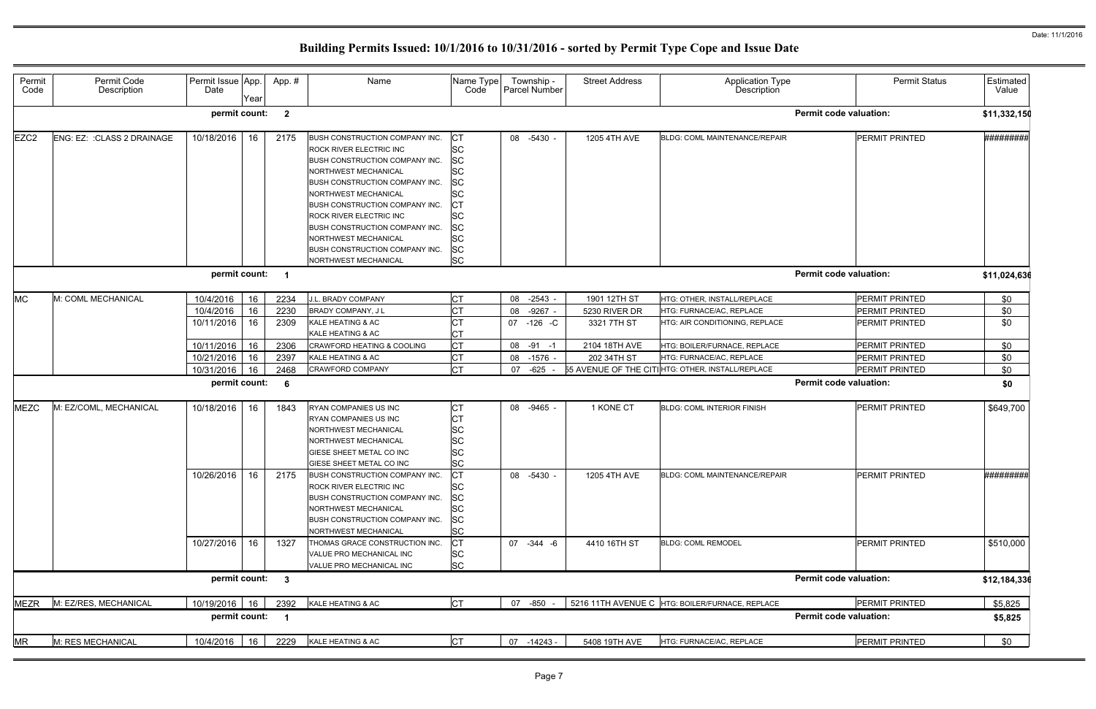| Permit<br>Code   | Permit Code<br>Description  | Permit Issue App.<br>Date              | Year           | App.#                   | Name                                                                                                                                                                                                                                                                                                                                                                                              | Name Type<br>Code                                                                                                                | Township -<br>Parcel Number                    | <b>Street Address</b>                        | Application Type<br>Description                                                                              | <b>Permit Status</b>                                             | Estimated<br>Value |
|------------------|-----------------------------|----------------------------------------|----------------|-------------------------|---------------------------------------------------------------------------------------------------------------------------------------------------------------------------------------------------------------------------------------------------------------------------------------------------------------------------------------------------------------------------------------------------|----------------------------------------------------------------------------------------------------------------------------------|------------------------------------------------|----------------------------------------------|--------------------------------------------------------------------------------------------------------------|------------------------------------------------------------------|--------------------|
|                  |                             | permit count:                          |                | $\mathbf{2}$            |                                                                                                                                                                                                                                                                                                                                                                                                   |                                                                                                                                  |                                                |                                              |                                                                                                              | <b>Permit code valuation:</b>                                    | \$11,332,15        |
| EZC <sub>2</sub> | ENG: EZ: : CLASS 2 DRAINAGE | 10/18/2016                             | 16             | 2175                    | BUSH CONSTRUCTION COMPANY INC.<br><b>ROCK RIVER ELECTRIC INC</b><br><b>BUSH CONSTRUCTION COMPANY INC.</b><br><b>NORTHWEST MECHANICAL</b><br>BUSH CONSTRUCTION COMPANY INC.<br>NORTHWEST MECHANICAL<br>BUSH CONSTRUCTION COMPANY INC.<br><b>ROCK RIVER ELECTRIC INC</b><br><b>BUSH CONSTRUCTION COMPANY INC.</b><br>NORTHWEST MECHANICAL<br>BUSH CONSTRUCTION COMPANY INC.<br>NORTHWEST MECHANICAL | СT<br><b>SC</b><br><b>SC</b><br>lsc<br>lsc<br><b>SC</b><br>IСТ<br><b>SC</b><br><b>SC</b><br><b>ISC</b><br><b>SC</b><br><b>SC</b> | 08 -5430 -                                     | 1205 4TH AVE                                 | BLDG: COML MAINTENANCE/REPAIR                                                                                | PERMIT PRINTED                                                   | #########          |
|                  |                             | permit count:                          |                | $\overline{\mathbf{1}}$ |                                                                                                                                                                                                                                                                                                                                                                                                   |                                                                                                                                  |                                                |                                              |                                                                                                              | <b>Permit code valuation:</b>                                    | \$11,024,63        |
| <b>MC</b>        | M: COML MECHANICAL          | 10/4/2016<br>10/4/2016<br>10/11/2016   | 16<br>16<br>16 | 2234<br>2230<br>2309    | J.L. BRADY COMPANY<br>BRADY COMPANY, J L<br>KALE HEATING & AC<br>KALE HEATING & AC                                                                                                                                                                                                                                                                                                                | <b>CT</b><br><b>CT</b><br><b>CT</b><br>СT                                                                                        | 08<br>$-2543$<br>$-9267 -$<br>08<br>07 -126 -C | 1901 12TH ST<br>5230 RIVER DR<br>3321 7TH ST | HTG: OTHER, INSTALL/REPLACE<br>HTG: FURNACE/AC, REPLACE<br>HTG: AIR CONDITIONING, REPLACE                    | <b>PERMIT PRINTED</b><br><b>PERMIT PRINTED</b><br>PERMIT PRINTED | \$0<br>\$0<br>\$0  |
|                  |                             | 10/11/2016<br>10/21/2016<br>10/31/2016 | 16<br>16<br>16 | 2306<br>2397<br>2468    | CRAWFORD HEATING & COOLING<br>KALE HEATING & AC<br>CRAWFORD COMPANY                                                                                                                                                                                                                                                                                                                               | <b>CT</b><br><b>CT</b><br>lст                                                                                                    | 08 -91 -1<br>08 -1576 -<br>07<br>-625 -        | 2104 18TH AVE<br>202 34TH ST                 | HTG: BOILER/FURNACE, REPLACE<br>HTG: FURNACE/AC, REPLACE<br>55 AVENUE OF THE CITIHTG: OTHER, INSTALL/REPLACE | PERMIT PRINTED<br><b>PERMIT PRINTED</b><br>PERMIT PRINTED        | \$0<br>\$0<br>\$0  |
|                  |                             | permit count:                          |                | - 6                     |                                                                                                                                                                                                                                                                                                                                                                                                   |                                                                                                                                  |                                                |                                              |                                                                                                              | <b>Permit code valuation:</b>                                    | \$0                |
| <b>MEZC</b>      | M: EZ/COML, MECHANICAL      | 10/18/2016                             | 16             | 1843                    | RYAN COMPANIES US INC<br><b>RYAN COMPANIES US INC</b><br>NORTHWEST MECHANICAL<br>NORTHWEST MECHANICAL<br><b>GIESE SHEET METAL CO INC</b><br>GIESE SHEET METAL CO INC                                                                                                                                                                                                                              | <b>CT</b><br><b>CT</b><br><b>SC</b><br><b>SC</b><br><b>SC</b><br><b>SC</b>                                                       | 08 -9465 -                                     | 1 KONE CT                                    | <b>BLDG: COML INTERIOR FINISH</b>                                                                            | <b>PERMIT PRINTED</b>                                            | \$649,700          |
|                  |                             | 10/26/2016 16                          |                | 2175                    | BUSH CONSTRUCTION COMPANY INC.<br><b>ROCK RIVER ELECTRIC INC</b><br>BUSH CONSTRUCTION COMPANY INC.<br>NORTHWEST MECHANICAL<br>BUSH CONSTRUCTION COMPANY INC.<br>NORTHWEST MECHANICAL                                                                                                                                                                                                              | ICT<br>lSC<br><b>SC</b><br><b>SC</b><br><b>SC</b><br><b>SC</b>                                                                   | 08 -5430 -                                     | 1205 4TH AVE                                 | BLDG: COML MAINTENANCE/REPAIR                                                                                | PERMIT PRINTED                                                   | ##########         |
|                  |                             | 10/27/2016                             | 16             | 1327                    | THOMAS GRACE CONSTRUCTION INC.<br>VALUE PRO MECHANICAL INC<br>VALUE PRO MECHANICAL INC                                                                                                                                                                                                                                                                                                            | IСТ<br><b>SC</b><br><b>SC</b>                                                                                                    | 07 -344 -6                                     | 4410 16TH ST                                 | <b>BLDG: COML REMODEL</b>                                                                                    | PERMIT PRINTED                                                   | \$510,000          |
|                  |                             | permit count: 3                        |                |                         |                                                                                                                                                                                                                                                                                                                                                                                                   |                                                                                                                                  |                                                |                                              |                                                                                                              | <b>Permit code valuation:</b>                                    | \$12,184,336       |
| <b>MEZR</b>      | M: EZ/RES, MECHANICAL       | 10/19/2016 16<br>permit count: 1       |                | 2392                    | KALE HEATING & AC                                                                                                                                                                                                                                                                                                                                                                                 | <b>CT</b>                                                                                                                        | 07 -850 -                                      |                                              | 5216 11TH AVENUE C HTG: BOILER/FURNACE, REPLACE                                                              | PERMIT PRINTED<br><b>Permit code valuation:</b>                  | \$5,825<br>\$5,825 |
| <b>MR</b>        | M: RES MECHANICAL           | 10/4/2016                              | 16             | 2229                    | KALE HEATING & AC                                                                                                                                                                                                                                                                                                                                                                                 | <b>CT</b>                                                                                                                        | 07<br>$-14243$                                 | 5408 19TH AVE                                | HTG: FURNACE/AC, REPLACE                                                                                     | PERMIT PRINTED                                                   | \$0                |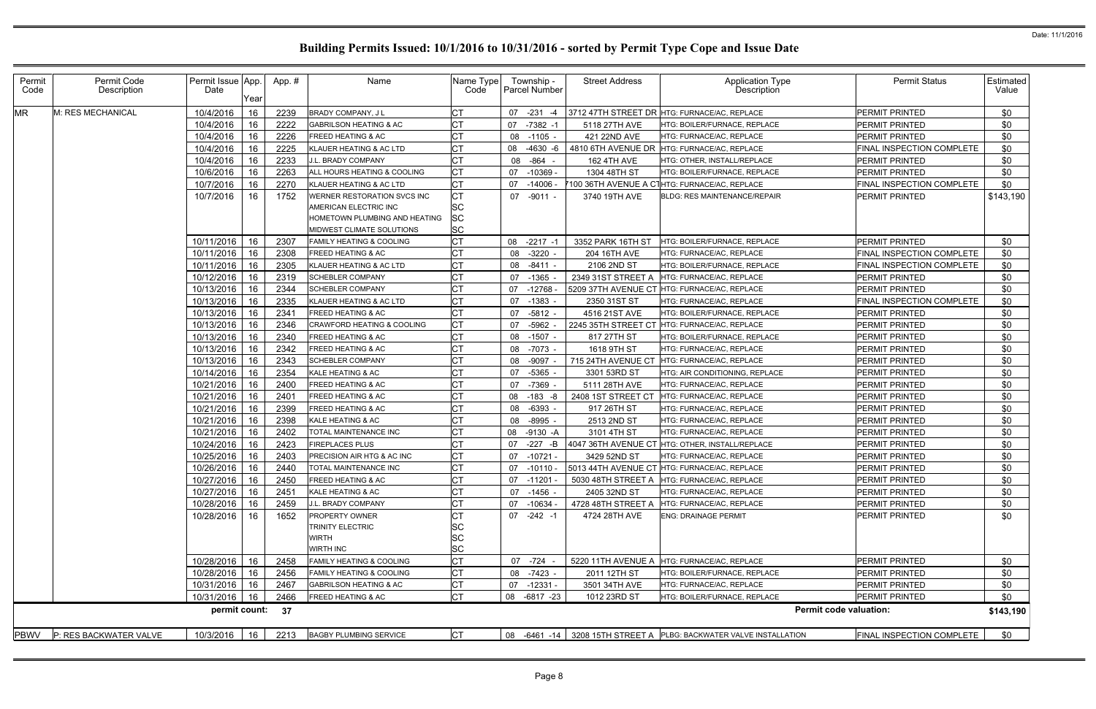| Permit<br>Code | Permit Code<br>Description | Permit Issue App.<br>Date | Year | App.# | Name                                | Name Type<br>Code | Township -<br><b>Parcel Number</b> | <b>Street Address</b> | <b>Application Type</b><br>Description                   | <b>Permit Status</b>          | Estimated<br>Value |
|----------------|----------------------------|---------------------------|------|-------|-------------------------------------|-------------------|------------------------------------|-----------------------|----------------------------------------------------------|-------------------------------|--------------------|
| <b>MR</b>      | M: RES MECHANICAL          | 10/4/2016                 | 16   | 2239  | BRADY COMPANY, J L                  | CT                | $-231$<br>07<br>-4                 |                       | 3712 47TH STREET DR HTG: FURNACE/AC, REPLACE             | PERMIT PRINTED                | \$0                |
|                |                            | 10/4/2016                 | 16   | 2222  | GABRILSON HEATING & AC              | СT                | 07 -7382 -1                        | 5118 27TH AVE         | <b>HTG: BOILER/FURNACE, REPLACE</b>                      | PERMIT PRINTED                | \$0                |
|                |                            | 10/4/2016                 | 16   | 2226  | <b>FREED HEATING &amp; AC</b>       | <b>CT</b>         | 08 -1105 -                         | 421 22ND AVE          | HTG: FURNACE/AC. REPLACE                                 | PERMIT PRINTED                | \$0                |
|                |                            | 10/4/2016                 | -16  | 2225  | KLAUER HEATING & AC LTD             | <b>CT</b>         | 08 -4630 -6                        |                       | 4810 6TH AVENUE DR HTG: FURNACE/AC, REPLACE              | FINAL INSPECTION COMPLETE     | \$0                |
|                |                            | 10/4/2016                 | 16   | 2233  | <b>J.L. BRADY COMPANY</b>           | СT                | 08 - 864 -                         | 162 4TH AVE           | HTG: OTHER, INSTALL/REPLACE                              | <b>PERMIT PRINTED</b>         | \$0                |
|                |                            | 10/6/2016                 | 16   | 2263  | ALL HOURS HEATING & COOLING         |                   | 07 -10369                          | 1304 48TH ST          | HTG: BOILER/FURNACE, REPLACE                             | PERMIT PRINTED                | \$0                |
|                |                            | 10/7/2016                 | 16   | 2270  | KLAUER HEATING & AC LTD             | <b>CT</b>         | 07 -14006                          | 7100 36TH AVENUE A C1 | <b>HTG: FURNACE/AC, REPLACE</b>                          | FINAL INSPECTION COMPLETE     | \$0                |
|                |                            | 10/7/2016                 | 16   | 1752  | WERNER RESTORATION SVCS INC         | СT                | 07 -9011 -                         | 3740 19TH AVE         | <b>BLDG: RES MAINTENANCE/REPAIR</b>                      | <b>PERMIT PRINTED</b>         | \$143,190          |
|                |                            |                           |      |       | AMERICAN ELECTRIC INC               | SC                |                                    |                       |                                                          |                               |                    |
|                |                            |                           |      |       | HOMETOWN PLUMBING AND HEATING       | SC                |                                    |                       |                                                          |                               |                    |
|                |                            |                           |      |       | MIDWEST CLIMATE SOLUTIONS           | <b>SC</b>         |                                    |                       |                                                          |                               |                    |
|                |                            | 10/11/2016                | 16   | 2307  | <b>FAMILY HEATING &amp; COOLING</b> | <b>CT</b>         | $-2217 - 1$<br>08                  | 3352 PARK 16TH ST     | HTG: BOILER/FURNACE, REPLACE                             | PERMIT PRINTED                | \$0                |
|                |                            | 10/11/2016                | 16   | 2308  | FREED HEATING & AC                  | СT                | 08 -3220 -                         | 204 16TH AVE          | HTG: FURNACE/AC, REPLACE                                 | FINAL INSPECTION COMPLETE     | \$0                |
|                |                            | 10/11/2016                | 16   | 2305  | KLAUER HEATING & AC LTD             | Iст               | 08 -8411 -                         | 2106 2ND ST           | HTG: BOILER/FURNACE, REPLACE                             | FINAL INSPECTION COMPLETE     | \$0                |
|                |                            | 10/12/2016                | -16  | 2319  | <b>SCHEBLER COMPANY</b>             | <b>CT</b>         | $07 - 1365$                        | 2349 31ST STREET A    | HTG: FURNACE/AC, REPLACE                                 | <b>PERMIT PRINTED</b>         | \$0                |
|                |                            | 10/13/2016                | 16   | 2344  | <b>SCHEBLER COMPANY</b>             | СT                | 07<br>-12768                       |                       | 5209 37TH AVENUE CT HTG: FURNACE/AC, REPLACE             | <b>PERMIT PRINTED</b>         | \$0                |
|                |                            | 10/13/2016                | 16   | 2335  | KLAUER HEATING & AC LTD             |                   | 07 -1383 -                         | 2350 31ST ST          | HTG: FURNACE/AC, REPLACE                                 | FINAL INSPECTION COMPLETE     | \$0                |
|                |                            | 10/13/2016                | 16   | 2341  | <b>FREED HEATING &amp; AC</b>       |                   | 07 -5812 -                         | 4516 21ST AVE         | HTG: BOILER/FURNACE, REPLACE                             | PERMIT PRINTED                | \$0                |
|                |                            | 10/13/2016                | 16   | 2346  | CRAWFORD HEATING & COOLING          | СT                | $-5962$<br>07                      | 2245 35TH STREET CT   | HTG: FURNACE/AC, REPLACE                                 | PERMIT PRINTED                | \$0                |
|                |                            | 10/13/2016                | -16  | 2340  | <b>FREED HEATING &amp; AC</b>       | СT                | 08 -1507 -                         | 817 27TH ST           | HTG: BOILER/FURNACE, REPLACE                             | PERMIT PRINTED                | \$0                |
|                |                            | 10/13/2016                | 16   | 2342  | <b>FREED HEATING &amp; AC</b>       | СT                | 08 -7073 -                         | 1618 9TH ST           | HTG: FURNACE/AC, REPLACE                                 | PERMIT PRINTED                | \$0                |
|                |                            | 10/13/2016                | 16   | 2343  | <b>SCHEBLER COMPANY</b>             | СT                | 08 -9097                           | 715 24TH AVENUE CT    | HTG: FURNACE/AC, REPLACE                                 | PERMIT PRINTED                | \$0                |
|                |                            | 10/14/2016                | 16   | 2354  | KALE HEATING & AC                   | СT                | 07 -5365                           | 3301 53RD ST          | HTG: AIR CONDITIONING, REPLACE                           | PERMIT PRINTED                | \$0                |
|                |                            | 10/21/2016                | -16  | 2400  | FREED HEATING & AC                  | СT                | 07 -7369 -                         | 5111 28TH AVE         | HTG: FURNACE/AC, REPLACE                                 | PERMIT PRINTED                | \$0                |
|                |                            | 10/21/2016                | 16   | 2401  | <b>FREED HEATING &amp; AC</b>       |                   | 08 -183 -8                         | 2408 1ST STREET CT    | HTG: FURNACE/AC, REPLACE                                 | PERMIT PRINTED                | \$0                |
|                |                            | 10/21/2016                | 16   | 2399  | <b>FREED HEATING &amp; AC</b>       |                   | 08 -6393 -                         | 917 26TH ST           | HTG: FURNACE/AC, REPLACE                                 | PERMIT PRINTED                | \$0                |
|                |                            | 10/21/2016                | 16   | 2398  | KALE HEATING & AC                   |                   | 08 -8995 -                         | 2513 2ND ST           | HTG: FURNACE/AC, REPLACE                                 | PERMIT PRINTED                | \$0                |
|                |                            | 10/21/2016                | 16   | 2402  | TOTAL MAINTENANCE INC               | СT                | 08 -9130 -A                        | 3101 4TH ST           | HTG: FURNACE/AC, REPLACE                                 | PERMIT PRINTED                | \$0                |
|                |                            | 10/24/2016                | -16  | 2423  | <b>FIREPLACES PLUS</b>              | СT                | 07<br>-227 -B                      | 4047 36TH AVENUE CT   | HTG: OTHER, INSTALL/REPLACE                              | PERMIT PRINTED                | \$0                |
|                |                            | 10/25/2016                | 16   | 2403  | PRECISION AIR HTG & AC INC          | СT                | 07 -10721 -                        | 3429 52ND ST          | HTG: FURNACE/AC, REPLACE                                 | PERMIT PRINTED                | \$0                |
|                |                            | 10/26/2016                | -16  | 2440  | TOTAL MAINTENANCE INC               |                   |                                    |                       | 07 -10110 - 5013 44TH AVENUE CT HTG: FURNACE/AC, REPLACE | PERMIT PRINTED                | \$0                |
|                |                            | 10/27/2016                | 16   | 2450  | <b>FREED HEATING &amp; AC</b>       | <b>CT</b>         | 07 -11201                          | 5030 48TH STREET A    | HTG: FURNACE/AC, REPLACE                                 | PERMIT PRINTED                | \$0                |
|                |                            | 10/27/2016                | 16   | 2451  | KALE HEATING & AC                   | СT                | 07 -1456                           | 2405 32ND ST          | HTG: FURNACE/AC, REPLACE                                 | PERMIT PRINTED                | \$0                |
|                |                            | 10/28/2016                | 16   | 2459  | J.L. BRADY COMPANY                  | СT                | 07 -10634                          | 4728 48TH STREET A    | HTG: FURNACE/AC, REPLACE                                 | PERMIT PRINTED                | \$0                |
|                |                            | 10/28/2016                | 16   | 1652  | <b>PROPERTY OWNER</b>               | СT                | $07 -242 -1$                       | 4724 28TH AVE         | <b>ENG: DRAINAGE PERMIT</b>                              | PERMIT PRINTED                | \$0                |
|                |                            |                           |      |       | <b>TRINITY ELECTRIC</b>             | SC                |                                    |                       |                                                          |                               |                    |
|                |                            |                           |      |       | WIRTH                               | SC                |                                    |                       |                                                          |                               |                    |
|                |                            |                           |      |       | WIRTH INC                           | <b>SC</b>         |                                    |                       |                                                          |                               |                    |
|                |                            | 10/28/2016                | 16   | 2458  | FAMILY HEATING & COOLING            | <b>CT</b>         | 07 -724                            | 5220 11TH AVENUE A    | HTG: FURNACE/AC, REPLACE                                 | PERMIT PRINTED                | \$0                |
|                |                            | 10/28/2016                | 16   | 2456  | <b>FAMILY HEATING &amp; COOLING</b> | CT                | 08 -7423 -                         | 2011 12TH ST          | HTG: BOILER/FURNACE, REPLACE                             | PERMIT PRINTED                | \$0                |
|                |                            | 10/31/2016                | 16   | 2467  | <b>GABRILSON HEATING &amp; AC</b>   | <b>CT</b>         | 07 -12331 -                        | 3501 34TH AVE         | HTG: FURNACE/AC, REPLACE                                 | PERMIT PRINTED                | \$0                |
|                |                            | 10/31/2016                | -16  | 2466  | <b>FREED HEATING &amp; AC</b>       | Iст               | 08 -6817 -23                       | 1012 23RD ST          | HTG: BOILER/FURNACE, REPLACE                             | PERMIT PRINTED                | \$0                |
|                |                            | permit count:             |      | 37    |                                     |                   |                                    |                       |                                                          | <b>Permit code valuation:</b> | \$143,190          |
| <b>PBWV</b>    | P: RES BACKWATER VALVE     | 10/3/2016                 | 16   | 2213  | <b>BAGBY PLUMBING SERVICE</b>       | Iст               | 08 -6461 -14                       |                       | 3208 15TH STREET A PLBG: BACKWATER VALVE INSTALLATION    | FINAL INSPECTION COMPLETE     | \$0                |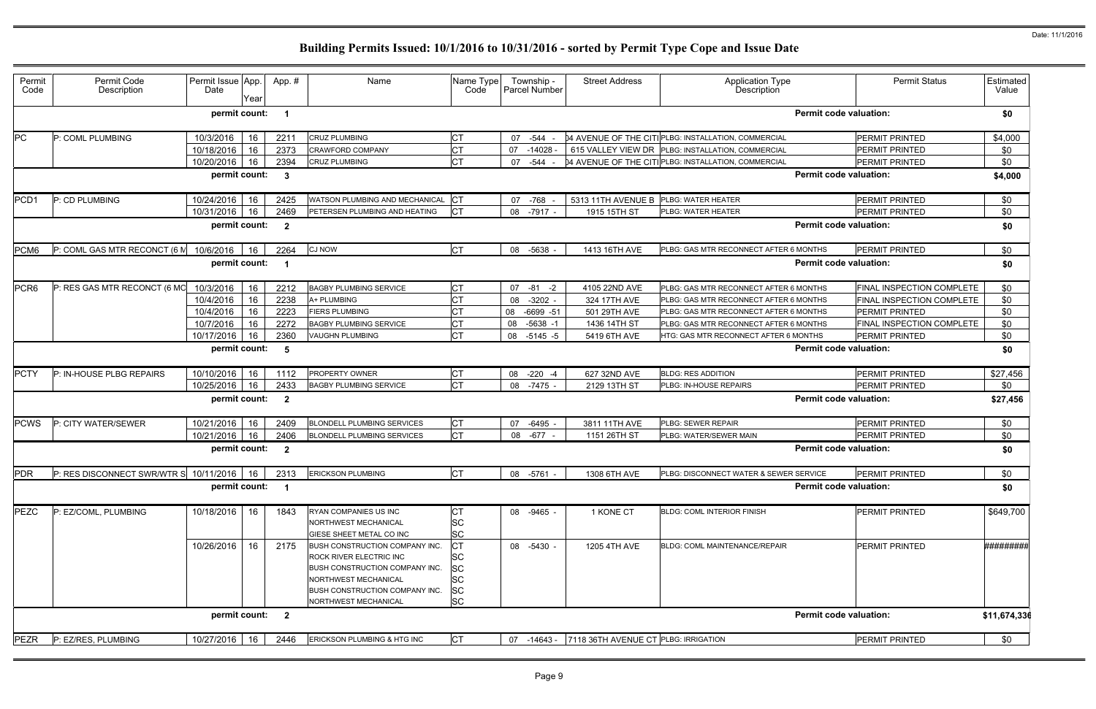| Permit<br>Code   | Permit Code<br>Description                                           | Permit Issue App.<br>Date | Year | App.#                   | Name                                                                                                                                                                                        | Name Type<br>Code                                                    | Township -<br>Parcel Number | <b>Street Address</b>                | Application Type<br>Description                     | <b>Permit Status</b>          | Estimated<br>Value |
|------------------|----------------------------------------------------------------------|---------------------------|------|-------------------------|---------------------------------------------------------------------------------------------------------------------------------------------------------------------------------------------|----------------------------------------------------------------------|-----------------------------|--------------------------------------|-----------------------------------------------------|-------------------------------|--------------------|
|                  |                                                                      | permit count:             |      | -1                      |                                                                                                                                                                                             |                                                                      |                             |                                      |                                                     | <b>Permit code valuation:</b> | \$0                |
| PC               | P: COML PLUMBING                                                     | 10/3/2016                 | 16   | 2211                    | <b>CRUZ PLUMBING</b>                                                                                                                                                                        | <b>CT</b>                                                            | 07 - 544                    |                                      | 04 AVENUE OF THE CITIPLBG: INSTALLATION, COMMERCIAL | PERMIT PRINTED                | \$4,000            |
|                  |                                                                      | 10/18/2016                | 16   | 2373                    | <b>CRAWFORD COMPANY</b>                                                                                                                                                                     | <b>CT</b>                                                            | 07<br>$-14028$              |                                      | 615 VALLEY VIEW DR PLBG: INSTALLATION, COMMERCIAL   | PERMIT PRINTED                | \$0                |
|                  |                                                                      | 10/20/2016                | 16   | 2394                    | <b>CRUZ PLUMBING</b>                                                                                                                                                                        | <b>CT</b>                                                            | 07<br>-544                  |                                      | 04 AVENUE OF THE CITIPLBG: INSTALLATION, COMMERCIAL | PERMIT PRINTED                | \$0                |
|                  |                                                                      | permit count:             |      | $\mathbf{3}$            |                                                                                                                                                                                             |                                                                      |                             |                                      |                                                     | <b>Permit code valuation:</b> | \$4,000            |
| PCD1             | P: CD PLUMBING                                                       | 10/24/2016                | 16   | 2425                    | WATSON PLUMBING AND MECHANICAL                                                                                                                                                              | <b>ICT</b>                                                           | 07 - 768                    | 5313 11TH AVENUE B                   | PLBG: WATER HEATER                                  | <b>PERMIT PRINTED</b>         | \$0                |
|                  |                                                                      | 10/31/2016                | 16   | 2469                    | PETERSEN PLUMBING AND HEATING                                                                                                                                                               | Iст                                                                  | 08<br>$-7917 -$             | 1915 15TH ST                         | PLBG: WATER HEATER                                  | <b>PERMIT PRINTED</b>         | \$0                |
|                  |                                                                      | permit count:             |      | $\overline{\mathbf{2}}$ |                                                                                                                                                                                             |                                                                      |                             |                                      |                                                     | <b>Permit code valuation:</b> | \$0                |
| PCM6             | P: COML GAS MTR RECONCT (6 M                                         | 10/6/2016                 | 16   | 2264                    | <b>CJ NOW</b>                                                                                                                                                                               | <b>CT</b>                                                            | $-5638$<br>08               | 1413 16TH AVE                        | PLBG: GAS MTR RECONNECT AFTER 6 MONTHS              | <b>PERMIT PRINTED</b>         | \$0                |
|                  |                                                                      | permit count:             |      | - 1                     |                                                                                                                                                                                             |                                                                      |                             |                                      |                                                     | <b>Permit code valuation:</b> | \$0                |
| PCR <sub>6</sub> | P: RES GAS MTR RECONCT (6 MC                                         | 10/3/2016                 | 16   | 2212                    | <b>BAGBY PLUMBING SERVICE</b>                                                                                                                                                               | <b>CT</b>                                                            | $07 - 81 - 2$               | 4105 22ND AVE                        | PLBG: GAS MTR RECONNECT AFTER 6 MONTHS              | FINAL INSPECTION COMPLETE     | \$0                |
|                  |                                                                      | 10/4/2016                 | 16   | 2238                    | A+ PLUMBING                                                                                                                                                                                 | <b>CT</b>                                                            | $-3202 -$<br>08             | 324 17TH AVE                         | PLBG: GAS MTR RECONNECT AFTER 6 MONTHS              | FINAL INSPECTION COMPLETE     | \$0                |
|                  |                                                                      | 10/4/2016                 | 16   | 2223                    | <b>FIERS PLUMBING</b>                                                                                                                                                                       | <b>CT</b>                                                            | $-6699 - 51$<br>08          | 501 29TH AVE                         | PLBG: GAS MTR RECONNECT AFTER 6 MONTHS              | PERMIT PRINTED                | \$0                |
|                  |                                                                      | 10/7/2016                 | 16   | 2272                    | <b>BAGBY PLUMBING SERVICE</b>                                                                                                                                                               | <b>CT</b>                                                            | 08<br>$-5638 - 1$           | 1436 14TH ST                         | PLBG: GAS MTR RECONNECT AFTER 6 MONTHS              | FINAL INSPECTION COMPLETE     | \$0                |
|                  |                                                                      | 10/17/2016                | 16   | 2360                    | <b>VAUGHN PLUMBING</b>                                                                                                                                                                      | <b>CT</b>                                                            | 08<br>$-5145 - 5$           | 5419 6TH AVE                         | HTG: GAS MTR RECONNECT AFTER 6 MONTHS               | <b>PERMIT PRINTED</b>         | \$0                |
|                  |                                                                      | permit count:             |      | -5                      |                                                                                                                                                                                             |                                                                      |                             |                                      |                                                     | <b>Permit code valuation:</b> | \$0                |
| <b>PCTY</b>      | P: IN-HOUSE PLBG REPAIRS                                             | 10/10/2016                | 16   | 1112                    | PROPERTY OWNER                                                                                                                                                                              | <b>CT</b>                                                            | 08 -220 -4                  | 627 32ND AVE                         | <b>BLDG: RES ADDITION</b>                           | <b>PERMIT PRINTED</b>         | \$27,456           |
|                  |                                                                      | 10/25/2016                | 16   | 2433                    | <b>BAGBY PLUMBING SERVICE</b>                                                                                                                                                               | <b>CT</b>                                                            | 08 -7475                    | 2129 13TH ST                         | PLBG: IN-HOUSE REPAIRS                              | <b>PERMIT PRINTED</b>         | \$0                |
|                  |                                                                      | permit count:             |      | $\overline{\mathbf{2}}$ |                                                                                                                                                                                             |                                                                      |                             |                                      |                                                     | <b>Permit code valuation:</b> | \$27,456           |
| <b>PCWS</b>      | P: CITY WATER/SEWER                                                  | 10/21/2016                | 16   | 2409                    | <b>BLONDELL PLUMBING SERVICES</b>                                                                                                                                                           | <b>CT</b>                                                            | $-6495 -$<br>07             | 3811 11TH AVE                        | PLBG: SEWER REPAIR                                  | <b>PERMIT PRINTED</b>         | \$0                |
|                  |                                                                      | 10/21/2016                | 16   | 2406                    | <b>BLONDELL PLUMBING SERVICES</b>                                                                                                                                                           | <b>CT</b>                                                            | 08 - 677 -                  | 1151 26TH ST                         | PLBG: WATER/SEWER MAIN                              | PERMIT PRINTED                | \$0                |
|                  |                                                                      | permit count:             |      | $\overline{\mathbf{2}}$ |                                                                                                                                                                                             |                                                                      |                             |                                      |                                                     | <b>Permit code valuation:</b> | \$0                |
| <b>PDR</b>       | P: RES DISCONNECT SWR/WTR S 10/11/2016   16   2313 ERICKSON PLUMBING |                           |      |                         |                                                                                                                                                                                             | IC1                                                                  | 08 -5761 -                  | 1308 6TH AVE                         | PLBG: DISCONNECT WATER & SEWER SERVICE              | <b>PERMIT PRINTED</b>         | \$0                |
|                  |                                                                      | permit count: 1           |      |                         |                                                                                                                                                                                             |                                                                      |                             |                                      |                                                     | <b>Permit code valuation:</b> | \$0                |
| PEZC             | P: EZ/COML, PLUMBING                                                 | 10/18/2016                | 16   | 1843                    | RYAN COMPANIES US INC<br>NORTHWEST MECHANICAL<br>GIESE SHEET METAL CO INC                                                                                                                   | <b>CT</b><br><b>SC</b><br><b>SC</b>                                  | 08 -9465 -                  | 1 KONE CT                            | <b>BLDG: COML INTERIOR FINISH</b>                   | PERMIT PRINTED                | \$649,700          |
|                  |                                                                      | 10/26/2016                | -16  | 2175                    | <b>BUSH CONSTRUCTION COMPANY INC.</b><br><b>ROCK RIVER ELECTRIC INC</b><br>BUSH CONSTRUCTION COMPANY INC.<br>NORTHWEST MECHANICAL<br>BUSH CONSTRUCTION COMPANY INC.<br>NORTHWEST MECHANICAL | Iст<br><b>SC</b><br><b>SC</b><br><b>SC</b><br><b>SC</b><br><b>SC</b> | 08 -5430 -                  | 1205 4TH AVE                         | BLDG: COML MAINTENANCE/REPAIR                       | PERMIT PRINTED                | #########          |
|                  |                                                                      | permit count: 2           |      |                         |                                                                                                                                                                                             |                                                                      |                             |                                      |                                                     | <b>Permit code valuation:</b> | \$11,674,336       |
| <b>PEZR</b>      | P: EZ/RES, PLUMBING                                                  | 10/27/2016 16             |      | 2446                    | ERICKSON PLUMBING & HTG INC                                                                                                                                                                 | <b>CT</b>                                                            | 07 -14643 -                 | 7118 36TH AVENUE CT PLBG: IRRIGATION |                                                     | PERMIT PRINTED                | \$0                |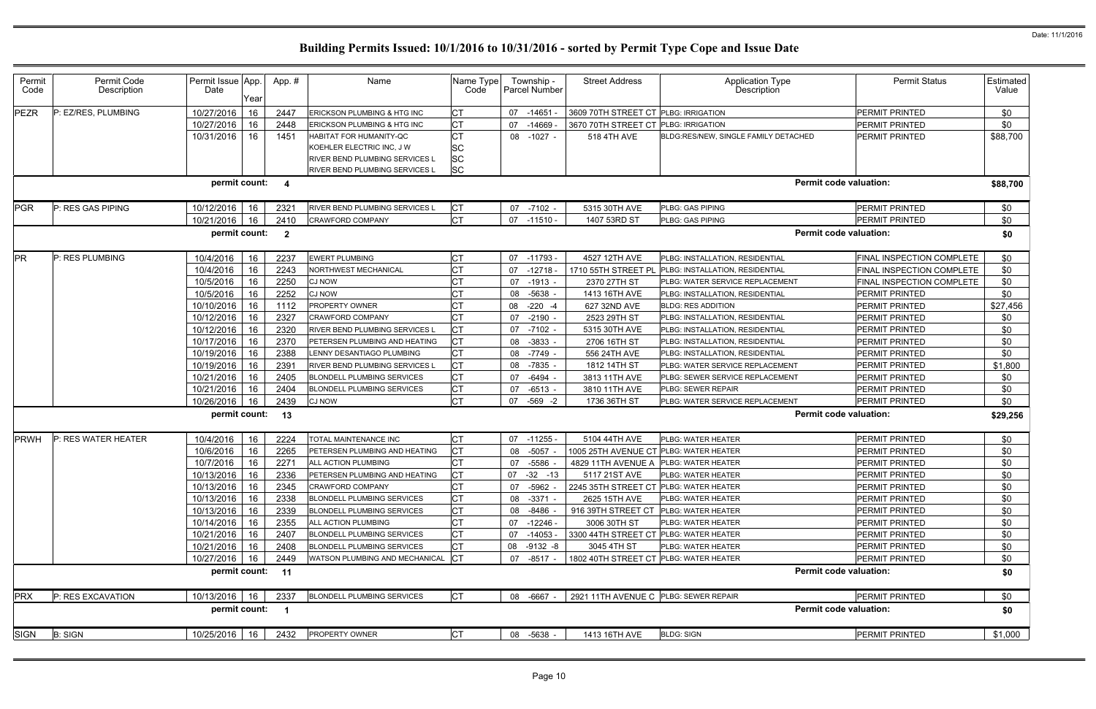| Permit<br>Code | Permit Code<br>Description | Permit Issue App.<br>Date | Year | App. #                  | Name                              | Name Type<br>Code | Township -<br><b>Parcel Number</b> | <b>Street Address</b>                  | <b>Application Type</b><br>Description | <b>Permit Status</b>          | Estimated  <br>Value |
|----------------|----------------------------|---------------------------|------|-------------------------|-----------------------------------|-------------------|------------------------------------|----------------------------------------|----------------------------------------|-------------------------------|----------------------|
| <b>PEZR</b>    | P: EZ/RES, PLUMBING        | 10/27/2016                | 16   | 2447                    | ERICKSON PLUMBING & HTG INC       | <b>CT</b>         | 07<br>$-14651$                     | 3609 70TH STREET CT PLBG: IRRIGATION   |                                        | PERMIT PRINTED                | \$0                  |
|                |                            | 10/27/2016                | 16   | 2448                    | ERICKSON PLUMBING & HTG INC       | <b>CT</b>         | $-14669$<br>07                     | 3670 70TH STREET CT                    | <b>PLBG: IRRIGATION</b>                | PERMIT PRINTED                | \$0                  |
|                |                            | 10/31/2016                | 16   | 1451                    | HABITAT FOR HUMANITY-QC           | <b>CT</b>         | 08 -1027 -                         | 518 4TH AVE                            | BLDG:RES/NEW, SINGLE FAMILY DETACHED   | PERMIT PRINTED                | \$88,700             |
|                |                            |                           |      |                         | KOEHLER ELECTRIC INC, J W         | <b>SC</b>         |                                    |                                        |                                        |                               |                      |
|                |                            |                           |      |                         | RIVER BEND PLUMBING SERVICES L    | <b>SC</b>         |                                    |                                        |                                        |                               |                      |
|                |                            |                           |      |                         | RIVER BEND PLUMBING SERVICES L    | <b>SC</b>         |                                    |                                        |                                        |                               |                      |
|                |                            | permit count:             |      | 4                       |                                   |                   |                                    |                                        |                                        | <b>Permit code valuation:</b> | \$88,700             |
| <b>PGR</b>     | P: RES GAS PIPING          | 10/12/2016                | -16  | 2321                    | RIVER BEND PLUMBING SERVICES L    | <b>CT</b>         | 07 -7102 -                         | 5315 30TH AVE                          | PLBG: GAS PIPING                       | <b>PERMIT PRINTED</b>         | \$0                  |
|                |                            | 10/21/2016                | 16   | 2410                    | CRAWFORD COMPANY                  | <b>CT</b>         | 07 -11510 -                        | 1407 53RD ST                           | PLBG: GAS PIPING                       | PERMIT PRINTED                | \$0                  |
|                |                            | permit count:             |      | $\overline{\mathbf{2}}$ |                                   |                   |                                    |                                        |                                        | <b>Permit code valuation:</b> | \$0                  |
| PR             | P: RES PLUMBING            | 10/4/2016                 | 16   | 2237                    | <b>EWERT PLUMBING</b>             | <b>CT</b>         | 07 -11793 -                        | 4527 12TH AVE                          | PLBG: INSTALLATION, RESIDENTIAL        | FINAL INSPECTION COMPLETE     | \$0                  |
|                |                            | 10/4/2016                 | 16   | 2243                    | NORTHWEST MECHANICAL              | <b>CT</b>         | $-12718 -$<br>07                   | 1710 55TH STREET PL                    | PLBG: INSTALLATION, RESIDENTIAL        | FINAL INSPECTION COMPLETE     | \$0                  |
|                |                            | 10/5/2016                 | 16   | 2250                    | CJ NOW                            | <b>CT</b>         | 07 -1913 -                         | 2370 27TH ST                           | PLBG: WATER SERVICE REPLACEMENT        | FINAL INSPECTION COMPLETE     | \$0                  |
|                |                            | 10/5/2016                 | 16   | 2252                    | CJ NOW                            | <b>CT</b>         | $-5638$<br>08                      | 1413 16TH AVE                          | PLBG: INSTALLATION, RESIDENTIAL        | PERMIT PRINTED                | \$0                  |
|                |                            | 10/10/2016                | 16   | 1112                    | PROPERTY OWNER                    | <b>CT</b>         | $-220 - 4$<br>08                   | 627 32ND AVE                           | <b>BLDG: RES ADDITION</b>              | PERMIT PRINTED                | \$27,456             |
|                |                            | 10/12/2016                | 16   | 2327                    | CRAWFORD COMPANY                  | <b>CT</b>         | $-2190$<br>07                      | 2523 29TH ST                           | PLBG: INSTALLATION, RESIDENTIAL        | PERMIT PRINTED                | \$0                  |
|                |                            | 10/12/2016                | 16   | 2320                    | RIVER BEND PLUMBING SERVICES L    | <b>CT</b>         | 07 -7102 -                         | 5315 30TH AVE                          | PLBG: INSTALLATION, RESIDENTIAL        | PERMIT PRINTED                | \$0                  |
|                |                            | 10/17/2016                | 16   | 2370                    | PETERSEN PLUMBING AND HEATING     | <b>CT</b>         | 08 -3833 -                         | 2706 16TH ST                           | PLBG: INSTALLATION, RESIDENTIAL        | <b>PERMIT PRINTED</b>         | \$0                  |
|                |                            | 10/19/2016                | -16  | 2388                    | LENNY DESANTIAGO PLUMBING         | <b>CT</b>         | 08 -7749 -                         | 556 24TH AVE                           | PLBG: INSTALLATION, RESIDENTIAL        | <b>PERMIT PRINTED</b>         | \$0                  |
|                |                            | 10/19/2016                | 16   | 2391                    | RIVER BEND PLUMBING SERVICES L    | Iст               | 08 -7835 -                         | 1812 14TH ST                           | PLBG: WATER SERVICE REPLACEMENT        | PERMIT PRINTED                | \$1,800              |
|                |                            | 10/21/2016                | 16   | 2405                    | BLONDELL PLUMBING SERVICES        | <b>CT</b>         | -6494<br>07                        | 3813 11TH AVE                          | PLBG: SEWER SERVICE REPLACEMENT        | PERMIT PRINTED                | \$0                  |
|                |                            | 10/21/2016                | 16   | 2404                    | <b>BLONDELL PLUMBING SERVICES</b> | <b>CT</b>         | $-6513 -$<br>07                    | 3810 11TH AVE                          | PLBG: SEWER REPAIR                     | PERMIT PRINTED                | \$0                  |
|                |                            | 10/26/2016                | 16   | 2439                    | CJ NOW                            | <b>CT</b>         | $-569 -2$<br>07                    | 1736 36TH ST                           | PLBG: WATER SERVICE REPLACEMENT        | PERMIT PRINTED                | \$0                  |
|                |                            | permit count:             |      | 13                      |                                   |                   |                                    |                                        |                                        | <b>Permit code valuation:</b> | \$29,256             |
| <b>PRWH</b>    | P: RES WATER HEATER        | 10/4/2016                 | 16   | 2224                    | TOTAL MAINTENANCE INC             | <b>CT</b>         | 07 -11255 -                        | 5104 44TH AVE                          | PLBG: WATER HEATER                     | <b>PERMIT PRINTED</b>         | \$0                  |
|                |                            | 10/6/2016                 | 16   | 2265                    | PETERSEN PLUMBING AND HEATING     | <b>CT</b>         | -5057 -<br>08                      | 1005 25TH AVENUE CT PLBG: WATER HEATER |                                        | PERMIT PRINTED                | \$0                  |
|                |                            | 10/7/2016                 | 16   | 2271                    | ALL ACTION PLUMBING               | <b>CT</b>         | -5586<br>07                        | 4829 11TH AVENUE A PLBG: WATER HEATER  |                                        | PERMIT PRINTED                | \$0                  |
|                |                            | 10/13/2016   16           |      | 2336                    | PETERSEN PLUMBING AND HEATING     | СT                | 07 -32 -13                         | 5117 21ST AVE                          | PLBG: WATER HEATER                     | <b>PERMIT PRINTED</b>         | \$0                  |
|                |                            | 10/13/2016   16           |      | 2345                    | <b>CRAWFORD COMPANY</b>           | <b>CT</b>         | 07 -5962 -                         | 2245 35TH STREET CT                    | PLBG: WATER HEATER                     | PERMIT PRINTED                | \$0                  |
|                |                            | 10/13/2016 16             |      | 2338                    | <b>BLONDELL PLUMBING SERVICES</b> | <b>CT</b>         | 08 -3371 -                         | 2625 15TH AVE                          | PLBG: WATER HEATER                     | PERMIT PRINTED                | \$0                  |
|                |                            | 10/13/2016   16           |      | 2339                    | <b>BLONDELL PLUMBING SERVICES</b> | <b>CT</b>         | 08 -8486                           | 916 39TH STREET CT                     | PLBG: WATER HEATER                     | <b>PERMIT PRINTED</b>         | \$0                  |
|                |                            | 10/14/2016   16           |      | 2355                    | ALL ACTION PLUMBING               | <b>CT</b>         | 07 -12246 -                        | 3006 30TH ST                           | PLBG: WATER HEATER                     | <b>PERMIT PRINTED</b>         | \$0                  |
|                |                            | 10/21/2016 16             |      | 2407                    | <b>BLONDELL PLUMBING SERVICES</b> | <b>CT</b>         | 07 -14053 -                        | 3300 44TH STREET CT                    | PLBG: WATER HEATER                     | PERMIT PRINTED                | \$0                  |
|                |                            | 10/21/2016   16           |      | 2408                    | <b>BLONDELL PLUMBING SERVICES</b> | <b>CT</b>         | 08 -9132 -8                        | 3045 4TH ST                            | PLBG: WATER HEATER                     | PERMIT PRINTED                | \$0                  |
|                |                            | 10/27/2016   16           |      | 2449                    | WATSON PLUMBING AND MECHANICAL    | <b>CT</b>         | 07 -8517 -                         | 1802 40TH STREET CT PLBG: WATER HEATER |                                        | PERMIT PRINTED                | \$0                  |
|                |                            | permit count: 11          |      |                         |                                   |                   |                                    |                                        |                                        | <b>Permit code valuation:</b> | \$0                  |
| <b>PRX</b>     | P: RES EXCAVATION          | 10/13/2016 16             |      | 2337                    | <b>BLONDELL PLUMBING SERVICES</b> | <b>CT</b>         | 08 -6667 -                         | 2921 11TH AVENUE C PLBG: SEWER REPAIR  |                                        | <b>PERMIT PRINTED</b>         | \$0                  |
|                |                            | permit count: 1           |      |                         |                                   |                   |                                    |                                        |                                        | <b>Permit code valuation:</b> | \$0                  |
| <b>SIGN</b>    | <b>B: SIGN</b>             | 10/25/2016 16             |      | 2432                    | PROPERTY OWNER                    | <b>CT</b>         | 08 -5638 -                         | 1413 16TH AVE                          | <b>BLDG: SIGN</b>                      | <b>PERMIT PRINTED</b>         | \$1,000              |